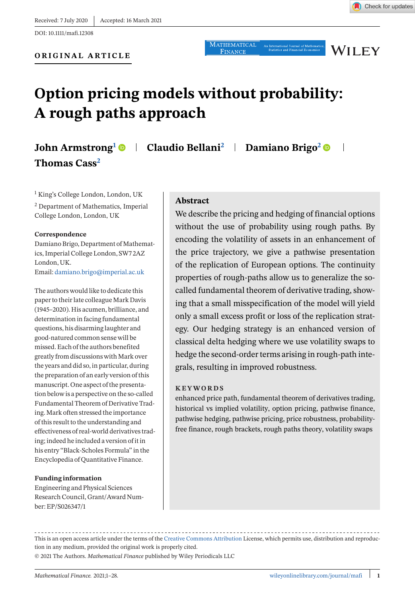Received: 7 July 2020 | Accepted: 16 March 2021

DOI: 10.1111/mafi.12308

**WILEY** 

# **Option pricing models without probability: A rough paths approach**

## **John Armstrong<sup>1</sup>**  $\bullet$  **| Claudio Bellani<sup>2</sup> | Damiano Brigo<sup>2</sup>**  $\bullet$ **Thomas Cass2**

<sup>1</sup> King's College London, London, UK

<sup>2</sup> Department of Mathematics, Imperial College London, London, UK

### **Correspondence**

Damiano Brigo, Department of Mathematics, Imperial College London, SW7 2AZ London, UK. Email: [damiano.brigo@imperial.ac.uk](mailto:damiano.brigo@imperial.ac.uk)

The authors would like to dedicate this paper to their late colleague Mark Davis (1945–2020). His acumen, brilliance, and determination in facing fundamental questions, his disarming laughter and good-natured common sense will be missed. Each of the authors benefited greatly from discussions with Mark over the years and did so, in particular, during the preparation of an early version of this manuscript. One aspect of the presentation below is a perspective on the so-called Fundamental Theorem of Derivative Trading. Mark often stressed the importance of this result to the understanding and effectiveness of real-world derivatives trading; indeed he included a version of it in his entry "Black-Scholes Formula" in the Encyclopedia of Quantitative Finance.

### **Funding information**

Engineering and Physical Sciences Research Council, Grant/Award Number: EP/S026347/1

### **Abstract**

We describe the pricing and hedging of financial options without the use of probability using rough paths. By encoding the volatility of assets in an enhancement of the price trajectory, we give a pathwise presentation of the replication of European options. The continuity properties of rough-paths allow us to generalize the socalled fundamental theorem of derivative trading, showing that a small misspecification of the model will yield only a small excess profit or loss of the replication strategy. Our hedging strategy is an enhanced version of classical delta hedging where we use volatility swaps to hedge the second-order terms arising in rough-path integrals, resulting in improved robustness.

### **KEYWORDS**

enhanced price path, fundamental theorem of derivatives trading, historical vs implied volatility, option pricing, pathwise finance, pathwise hedging, pathwise pricing, price robustness, probabilityfree finance, rough brackets, rough paths theory, volatility swaps

This is an open access article under the terms of the [Creative Commons Attribution](http://creativecommons.org/licenses/by/4.0/) License, which permits use, distribution and reproduction in any medium, provided the original work is properly cited. © 2021 The Authors. *Mathematical Finance* published by Wiley Periodicals LLC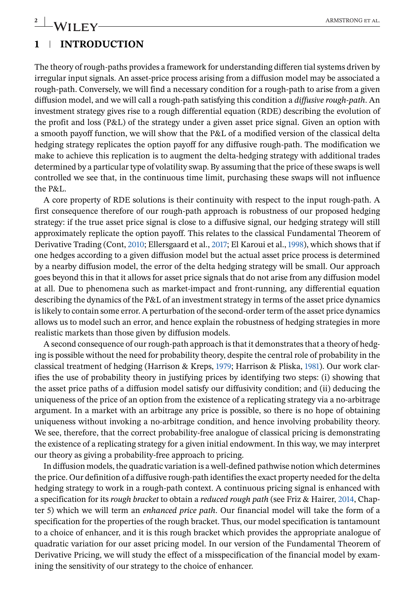# **2** ARMSTRONG ET AL.

## **1 INTRODUCTION**

The theory of rough-paths provides a framework for understanding differen tial systems driven by irregular input signals. An asset-price process arising from a diffusion model may be associated a rough-path. Conversely, we will find a necessary condition for a rough-path to arise from a given diffusion model, and we will call a rough-path satisfying this condition a *diffusive rough-path*. An investment strategy gives rise to a rough differential equation (RDE) describing the evolution of the profit and loss (P&L) of the strategy under a given asset price signal. Given an option with a smooth payoff function, we will show that the P&L of a modified version of the classical delta hedging strategy replicates the option payoff for any diffusive rough-path. The modification we make to achieve this replication is to augment the delta-hedging strategy with additional trades determined by a particular type of volatility swap. By assuming that the price of these swaps is well controlled we see that, in the continuous time limit, purchasing these swaps will not influence the P&L.

A core property of RDE solutions is their continuity with respect to the input rough-path. A first consequence therefore of our rough-path approach is robustness of our proposed hedging strategy: if the true asset price signal is close to a diffusive signal, our hedging strategy will still approximately replicate the option payoff. This relates to the classical Fundamental Theorem of Derivative Trading (Cont, [2010;](#page-25-0) Ellersgaard et al., [2017;](#page-25-0) El Karoui et al., [1998\)](#page-25-0), which shows that if one hedges according to a given diffusion model but the actual asset price process is determined by a nearby diffusion model, the error of the delta hedging strategy will be small. Our approach goes beyond this in that it allows for asset price signals that do not arise from any diffusion model at all. Due to phenomena such as market-impact and front-running, any differential equation describing the dynamics of the P&L of an investment strategy in terms of the asset price dynamics is likely to contain some error. A perturbation of the second-order term of the asset price dynamics allows us to model such an error, and hence explain the robustness of hedging strategies in more realistic markets than those given by diffusion models.

A second consequence of our rough-path approach is that it demonstrates that a theory of hedging is possible without the need for probability theory, despite the central role of probability in the classical treatment of hedging (Harrison & Kreps, [1979;](#page-25-0) Harrison & Pliska, [1981\)](#page-25-0). Our work clarifies the use of probability theory in justifying prices by identifying two steps: (i) showing that the asset price paths of a diffusion model satisfy our diffusivity condition; and (ii) deducing the uniqueness of the price of an option from the existence of a replicating strategy via a no-arbitrage argument. In a market with an arbitrage any price is possible, so there is no hope of obtaining uniqueness without invoking a no-arbitrage condition, and hence involving probability theory. We see, therefore, that the correct probability-free analogue of classical pricing is demonstrating the existence of a replicating strategy for a given initial endowment. In this way, we may interpret our theory as giving a probability-free approach to pricing.

In diffusion models, the quadratic variation is a well-defined pathwise notion which determines the price. Our definition of a diffusive rough-path identifies the exact property needed for the delta hedging strategy to work in a rough-path context. A continuous pricing signal is enhanced with a specification for its *rough bracket* to obtain a *reduced rough path* (see Friz & Hairer, [2014,](#page-25-0) Chapter 5) which we will term an *enhanced price path*. Our financial model will take the form of a specification for the properties of the rough bracket. Thus, our model specification is tantamount to a choice of enhancer, and it is this rough bracket which provides the appropriate analogue of quadratic variation for our asset pricing model. In our version of the Fundamental Theorem of Derivative Pricing, we will study the effect of a misspecification of the financial model by examining the sensitivity of our strategy to the choice of enhancer.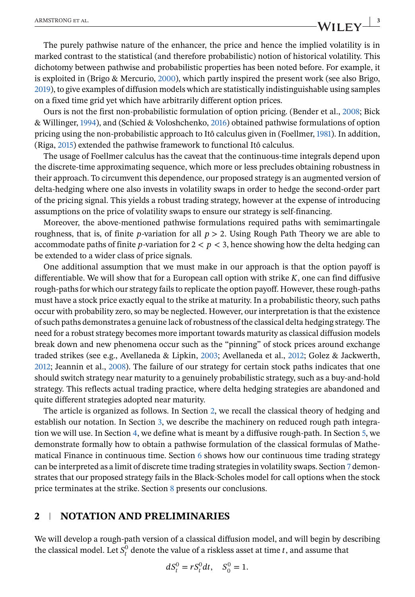<span id="page-2-0"></span>The purely pathwise nature of the enhancer, the price and hence the implied volatility is in marked contrast to the statistical (and therefore probabilistic) notion of historical volatility. This dichotomy between pathwise and probabilistic properties has been noted before. For example, it is exploited in (Brigo & Mercurio, [2000\)](#page-25-0), which partly inspired the present work (see also Brigo, [2019\)](#page-25-0), to give examples of diffusion models which are statistically indistinguishable using samples on a fixed time grid yet which have arbitrarily different option prices.

Ours is not the first non-probabilistic formulation of option pricing. (Bender et al., [2008;](#page-25-0) Bick & Willinger, [1994\)](#page-25-0), and (Schied & Voloshchenko, [2016\)](#page-25-0) obtained pathwise formulations of option pricing using the non-probabilistic approach to Itô calculus given in (Foellmer, [1981\)](#page-25-0). In addition, (Riga, [2015\)](#page-25-0) extended the pathwise framework to functional Itô calculus.

The usage of Foellmer calculus has the caveat that the continuous-time integrals depend upon the discrete-time approximating sequence, which more or less precludes obtaining robustness in their approach. To circumvent this dependence, our proposed strategy is an augmented version of delta-hedging where one also invests in volatility swaps in order to hedge the second-order part of the pricing signal. This yields a robust trading strategy, however at the expense of introducing assumptions on the price of volatility swaps to ensure our strategy is self-financing.

Moreover, the above-mentioned pathwise formulations required paths with semimartingale roughness, that is, of finite p-variation for all  $p > 2$ . Using Rough Path Theory we are able to accommodate paths of finite p-variation for  $2 < p < 3$ , hence showing how the delta hedging can be extended to a wider class of price signals.

One additional assumption that we must make in our approach is that the option payoff is differentiable. We will show that for a European call option with strike  $K$ , one can find diffusive rough-paths for which our strategy fails to replicate the option payoff. However, these rough-paths must have a stock price exactly equal to the strike at maturity. In a probabilistic theory, such paths occur with probability zero, so may be neglected. However, our interpretation is that the existence of such paths demonstrates a genuine lack of robustness of the classical delta hedging strategy. The need for a robust strategy becomes more important towards maturity as classical diffusion models break down and new phenomena occur such as the "pinning" of stock prices around exchange traded strikes (see e.g., Avellaneda & Lipkin, [2003;](#page-25-0) Avellaneda et al., [2012;](#page-25-0) Golez & Jackwerth, [2012;](#page-25-0) Jeannin et al., [2008\)](#page-25-0). The failure of our strategy for certain stock paths indicates that one should switch strategy near maturity to a genuinely probabilistic strategy, such as a buy-and-hold strategy. This reflects actual trading practice, where delta hedging strategies are abandoned and quite different strategies adopted near maturity.

The article is organized as follows. In Section 2, we recall the classical theory of hedging and establish our notation. In Section [3,](#page-4-0) we describe the machinery on reduced rough path integration we will use. In Section [4,](#page-10-0) we define what is meant by a diffusive rough-path. In Section [5,](#page-14-0) we demonstrate formally how to obtain a pathwise formulation of the classical formulas of Mathematical Finance in continuous time. Section [6](#page-17-0) shows how our continuous time trading strategy can be interpreted as a limit of discrete time trading strategies in volatility swaps. Section [7](#page-21-0) demonstrates that our proposed strategy fails in the Black-Scholes model for call options when the stock price terminates at the strike. Section [8](#page-24-0) presents our conclusions.

### **2 NOTATION AND PRELIMINARIES**

We will develop a rough-path version of a classical diffusion model, and will begin by describing the classical model. Let  $S_t^0$  denote the value of a riskless asset at time t, and assume that

$$
dS_t^0 = rS_t^0 dt, \quad S_0^0 = 1.
$$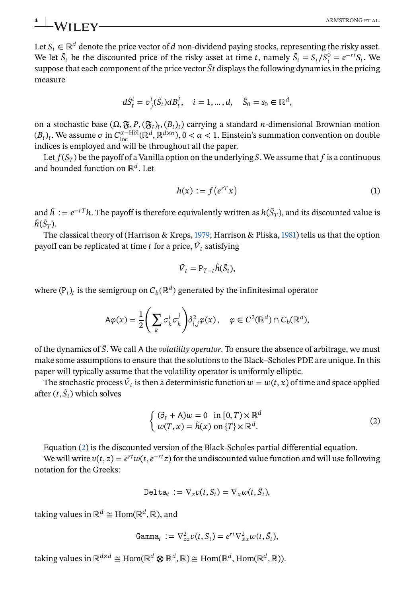<span id="page-3-0"></span>Let  $S_t \in \mathbb{R}^d$  denote the price vector of d non-dividend paying stocks, representing the risky asset. We let  $\tilde{S}_t$  be the discounted price of the risky asset at time t, namely  $\tilde{S}_t = S_t/S_t^0 = e^{-rt}S_t$ . We suppose that each component of the price vector  $\tilde{S}t$  displays the following dynamics in the pricing measure

$$
d\tilde{S}_t^i = \sigma_j^i(\tilde{S}_t) dB_t^j, \quad i = 1, \dots, d, \quad \tilde{S}_0 = s_0 \in \mathbb{R}^d,
$$

on a stochastic base  $(\Omega, \mathfrak{F}, P, (\mathfrak{F}_t)_t, (B_t)_t)$  carrying a standard *n*-dimensional Brownian motion  $(B_t)_t$ . We assume  $\sigma$  in  $C_{\text{loc}}^{\alpha-\text{H\"ol}}(\mathbb{R}^d,\mathbb{R}^{d\times n})$ ,  $0<\alpha<1$ . Einstein's summation convention on double indices is employed and will be throughout all the paper.

Let  $f(S_T)$  be the payoff of a Vanilla option on the underlying S. We assume that  $f$  is a continuous and bounded function on  $\mathbb{R}^d$ . Let

$$
h(x) := f(e^{rT}x) \tag{1}
$$

and  $\tilde{h} := e^{-rT}h$ . The payoff is therefore equivalently written as  $h(\tilde{S}_T)$ , and its discounted value is  $\tilde{h}(\tilde{S}_T)$ .

The classical theory of (Harrison & Kreps, [1979;](#page-25-0) Harrison & Pliska, [1981\)](#page-25-0) tells us that the option payoff can be replicated at time t for a price,  $\tilde{V}_t$  satisfying

$$
\tilde{V}_t = P_{T-t} \tilde{h}(\tilde{S}_t),
$$

where  $(P_t)_t$  is the semigroup on  $C_b(\mathbb{R}^d)$  generated by the infinitesimal operator

$$
\mathsf{A}\varphi(x) = \frac{1}{2}\left(\sum_{k} \sigma_{k}^{i} \sigma_{k}^{j}\right) \partial_{i,j}^{2} \varphi(x), \quad \varphi \in C^{2}(\mathbb{R}^{d}) \cap C_{b}(\mathbb{R}^{d}),
$$

of the dynamics of ̃. We call the *volatility operator*. To ensure the absence of arbitrage, we must make some assumptions to ensure that the solutions to the Black–Scholes PDE are unique. In this paper will typically assume that the volatility operator is uniformly elliptic.

The stochastic process  $\tilde{V}_t$  is then a deterministic function  $w = w(t, x)$  of time and space applied after  $(t, \tilde{S}_t)$  which solves

$$
\begin{cases} (\partial_t + A)w = 0 & \text{in } [0, T) \times \mathbb{R}^d \\ w(T, x) = \tilde{h}(x) & \text{on } \{T\} \times \mathbb{R}^d. \end{cases}
$$
 (2)

Equation (2) is the discounted version of the Black-Scholes partial differential equation.

We will write  $v(t, z) = e^{rt}w(t, e^{-rt}z)$  for the undiscounted value function and will use following notation for the Greeks:

$$
\text{Delta}_t := \nabla_z v(t, S_t) = \nabla_x w(t, \tilde{S}_t),
$$

taking values in  $\mathbb{R}^d \cong \text{Hom}(\mathbb{R}^d, \mathbb{R})$ , and

$$
\text{Gamma}_{t} := \nabla_{zz}^{2} v(t, S_t) = e^{rt} \nabla_{xx}^{2} w(t, \tilde{S}_t),
$$

taking values in ℝ<sup>d×d</sup> ≅ Hom(ℝ<sup>d</sup> ⊗ ℝ<sup>d</sup>, ℝ) ≅ Hom(ℝ<sup>d</sup>, Hom(ℝ<sup>d</sup>, ℝ)).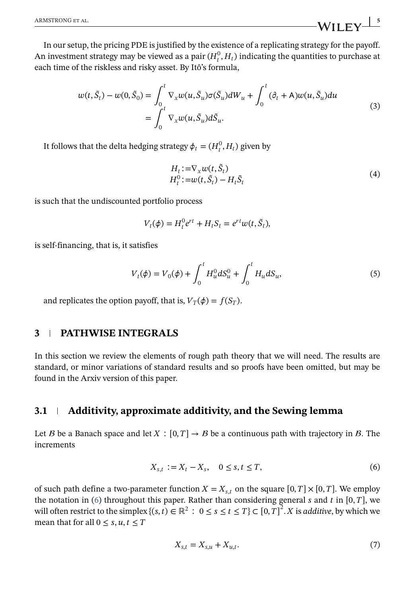<span id="page-4-0"></span>In our setup, the pricing PDE is justified by the existence of a replicating strategy for the payoff. An investment strategy may be viewed as a pair  $(H_t^0, H_t)$  indicating the quantities to purchase at each time of the riskless and risky asset. By Itô's formula,

$$
w(t, \tilde{S}_t) - w(0, \tilde{S}_0) = \int_0^t \nabla_x w(u, \tilde{S}_u) \sigma(\tilde{S}_u) dW_u + \int_0^t (\partial_t + A) w(u, \tilde{S}_u) du
$$
  
= 
$$
\int_0^t \nabla_x w(u, \tilde{S}_u) d\tilde{S}_u.
$$
 (3)

It follows that the delta hedging strategy  $\phi_t = (H_t^0, H_t)$  given by

$$
H_t := \nabla_x w(t, \tilde{S}_t)
$$
  
\n
$$
H_t^0 := w(t, \tilde{S}_t) - H_t \tilde{S}_t
$$
\n(4)

is such that the undiscounted portfolio process

$$
V_t(\phi) = H_t^0 e^{rt} + H_t S_t = e^{rt} w(t, \tilde{S}_t),
$$

is self-financing, that is, it satisfies

$$
V_t(\phi) = V_0(\phi) + \int_0^t H_u^0 dS_u^0 + \int_0^t H_u dS_u,
$$
\n(5)

and replicates the option payoff, that is,  $V_T(\phi) = f(S_T)$ .

### **3 PATHWISE INTEGRALS**

In this section we review the elements of rough path theory that we will need. The results are standard, or minor variations of standard results and so proofs have been omitted, but may be found in the Arxiv version of this paper.

### **3.1 Additivity, approximate additivity, and the Sewing lemma**

Let B be a Banach space and let  $X : [0, T] \to B$  be a continuous path with trajectory in B. The increments

$$
X_{s,t} := X_t - X_s, \quad 0 \le s, t \le T,\tag{6}
$$

of such path define a two-parameter function  $X = X_{s,t}$  on the square  $[0, T] \times [0, T]$ . We employ the notation in (6) throughout this paper. Rather than considering general  $s$  and  $t$  in [0,  $T$ ], we will often restrict to the simplex  $\{(s,t) \in \mathbb{R}^2 : 0 \le s \le t \le T\} \subset [0, T]^2$ . X is *additive*, by which we mean that for all  $0 \leq s, u, t \leq T$ 

$$
X_{s,t} = X_{s,u} + X_{u,t}.\tag{7}
$$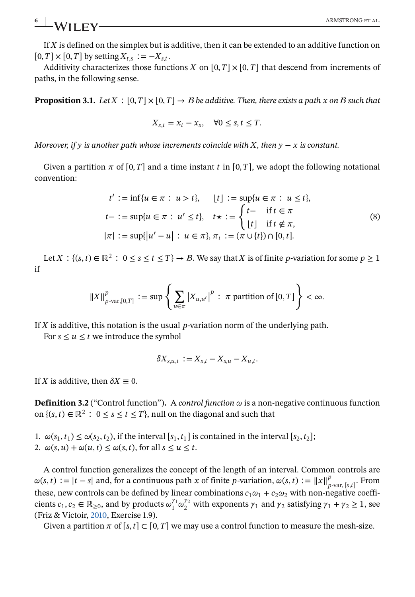<span id="page-5-0"></span>**6** ARMSTRONG ET AL.

If  $X$  is defined on the simplex but is additive, then it can be extended to an additive function on  $[0, T] \times [0, T]$  by setting  $X_{t,s} := -X_{s,t}$ .

Additivity characterizes those functions X on  $[0, T] \times [0, T]$  that descend from increments of paths, in the following sense.

**Proposition 3.1.** *Let*  $X : [0, T] \times [0, T] \rightarrow B$  *be additive. Then, there exists a path x on B such that* 

$$
X_{s,t} = x_t - x_s, \quad \forall 0 \le s, t \le T.
$$

*Moreover, if*  $\gamma$  *is another path whose increments coincide with*  $X$ *, then*  $\gamma - x$  *is constant.* 

Given a partition  $\pi$  of [0, T] and a time instant t in [0, T], we adopt the following notational convention:

$$
t' := \inf\{u \in \pi : u > t\}, \quad [t] := \sup\{u \in \pi : u \le t\},
$$
  
\n
$$
t - := \sup\{u \in \pi : u' \le t\}, \quad t \star := \begin{cases} t - & \text{if } t \in \pi \\ \lfloor t \rfloor & \text{if } t \notin \pi, \end{cases}
$$
  
\n
$$
|\pi| := \sup\{|u' - u| : u \in \pi\}, \pi_t := (\pi \cup \{t\}) \cap [0, t].
$$
 (8)

Let  $X : \{(s, t) \in \mathbb{R}^2 : 0 \le s \le t \le T\} \to \mathcal{B}$ . We say that X is of finite p-variation for some  $p \ge 1$ if

$$
\|X\|_{p\text{-var},[0,T]}^p := \sup \left\{ \sum_{u\in\pi} \left|X_{u,u'}\right|^p : \pi \text{ partition of } [0,T] \right\} < \infty.
$$

If  $X$  is additive, this notation is the usual p-variation norm of the underlying path.

For  $s \le u \le t$  we introduce the symbol

$$
\delta X_{s,u,t} := X_{s,t} - X_{s,u} - X_{u,t}.
$$

If X is additive, then  $\delta X \equiv 0$ .

**Definition 3.2** ("Control function"). A *control function*  $\omega$  is a non-negative continuous function on  $\{(s, t) \in \mathbb{R}^2 : 0 \le s \le t \le T\}$ , null on the diagonal and such that

- 1.  $\omega(s_1, t_1) \leq \omega(s_2, t_2)$ , if the interval  $[s_1, t_1]$  is contained in the interval  $[s_2, t_2]$ ;
- 2.  $\omega(s, u) + \omega(u, t) \leq \omega(s, t)$ , for all  $s \leq u \leq t$ .

A control function generalizes the concept of the length of an interval. Common controls are  $\omega(s, t) := |t-s|$  and, for a continuous path x of finite p-variation,  $\omega(s, t) := ||x||_{p-\text{var},[s,t]}^p$ . From these, new controls can be defined by linear combinations  $c_1 \omega_1 + c_2 \omega_2$  with non-negative coefficients  $c_1, c_2 \in \mathbb{R}_{\geq 0}$ , and by products  $\omega_1^{\gamma_1} \omega_2^{\gamma_2}$  with exponents  $\gamma_1$  and  $\gamma_2$  satisfying  $\gamma_1 + \gamma_2 \geq 1$ , see (Friz & Victoir, [2010,](#page-25-0) Exercise 1.9).

Given a partition  $\pi$  of [s, t]  $\subset$  [0, T] we may use a control function to measure the mesh-size.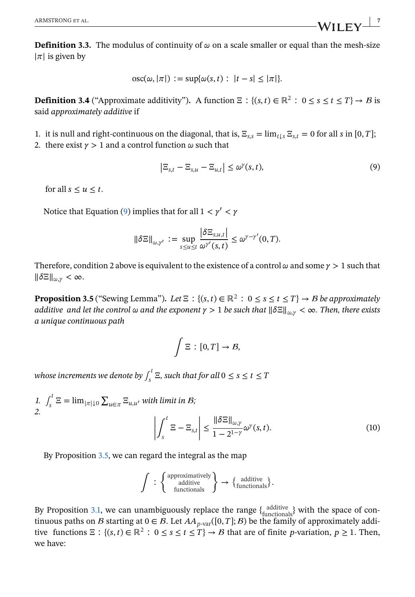<span id="page-6-0"></span>**Definition 3.3.** The modulus of continuity of  $\omega$  on a scale smaller or equal than the mesh-size  $|\pi|$  is given by

$$
osc(\omega, |\pi|) := \sup{\omega(s, t) : |t - s| \leq |\pi|}.
$$

**Definition 3.4** ("Approximate additivity"). A function  $\Xi$  :  $\{(s, t) \in \mathbb{R}^2 : 0 \le s \le t \le T\} \to B$  is said *approximately additive* if

- 1. it is null and right-continuous on the diagonal, that is,  $\Xi_{s,s} = \lim_{t \to s} \Xi_{s,t} = 0$  for all s in [0, T];
- 2. there exist  $\gamma > 1$  and a control function  $\omega$  such that

$$
\left|\Xi_{s,t}-\Xi_{s,u}-\Xi_{u,t}\right|\leq\omega^{\gamma}(s,t),\tag{9}
$$

for all  $s \le u \le t$ .

Notice that Equation (9) implies that for all  $1 < \gamma' < \gamma$ 

$$
\|\delta \Xi\|_{\omega,\gamma'} := \sup_{s \le u \le t} \frac{|\delta \Xi_{s,u,t}|}{\omega^{\gamma'}(s,t)} \le \omega^{\gamma-\gamma'}(0,T).
$$

Therefore, condition 2 above is equivalent to the existence of a control  $\omega$  and some  $\gamma > 1$  such that  $\|\delta \Xi\|_{\omega,\nu}<\infty.$ 

**Proposition 3.5** ("Sewing Lemma"). Let  $\Xi$ :  $\{(s,t) \in \mathbb{R}^2 : 0 \le s \le t \le T\} \rightarrow B$  be approximately *additive and let the control*  $\omega$  and the exponent  $\gamma > 1$  be such that  $\|\delta \Xi\|_{\omega,\gamma} < \infty$ . Then, there exists *a unique continuous path*

$$
\int \Xi : [0,T] \to \mathcal{B},
$$

whose increments we denote by  $\int_s^t \Xi$ , such that for all  $0\leq s\leq t\leq T$ 

1.  $\int_s^t \Xi = \lim_{|\pi| \downarrow 0} \sum_{u \in \pi} \Xi_{u,u'}$  with limit in *B*; *2.* |  $\bar{t}$ |  $\left\Vert \delta\Xi\right\Vert _{\omega,\gamma}$ 

$$
\left| \int_{s}^{t} \Xi - \Xi_{s,t} \right| \leq \frac{\left\| \delta \Xi \right\|_{\omega,\gamma}}{1 - 2^{1 - \gamma}} \omega^{\gamma}(s,t). \tag{10}
$$

By Proposition 3.5, we can regard the integral as the map

$$
\int\; :\; \left\{ \begin{array}{c} \text{approximatively} \\ \text{additive} \\ \text{functions} \end{array} \right\} \to \{ \begin{array}{c} \text{additive} \\ \text{functions} \end{array} \}.
$$

By Proposition [3.1,](#page-5-0) we can unambiguously replace the range  $\{\text{additive}\}\$  with the space of continuous paths on B starting at  $0 \in B$ . Let  $AA_{p\text{-}\text{var}}([0,T];B)$  be the family of approximately additive functions  $\Xi$ :  $\{(s, t) \in \mathbb{R}^2 : 0 \le s \le t \le T\} \to B$  that are of finite p-variation,  $p \ge 1$ . Then, we have: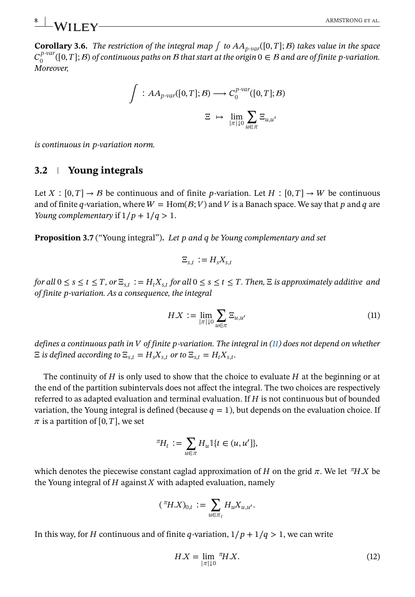<span id="page-7-0"></span>**Corollary 3.6.** *The restriction of the integral map*  $\int$  *to*  $AA$ <sub>*p*-var</sub>([0, *T*]; *B*) *takes value in the space*  $C_0^{p-var}([0,T];B)$  of continuous paths on B that start at the origin  $0 \in B$  and are of finite p-variation. *Moreover,*

$$
\int : AA_{p\text{-var}}([0,T];B) \longrightarrow C_0^{p\text{-var}}([0,T];B)
$$

$$
\Xi \mapsto \lim_{|\pi|\downarrow 0} \sum_{u \in \pi} \Xi_{u,u'}
$$

*is continuous in -variation norm.*

## **3.2 Young integrals**

Let  $X : [0, T] \to B$  be continuous and of finite p-variation. Let  $H : [0, T] \to W$  be continuous and of finite q-variation, where  $W = \text{Hom}(B;V)$  and V is a Banach space. We say that p and q are *Young complementary* if  $1/p + 1/q > 1$ .

**Proposition 3.7** ("Young integral")**.** *Let and be Young complementary and set*

$$
\Xi_{s,t} := H_s X_{s,t}
$$

*for all*  $0 \leq s \leq t \leq T$ ,  $or \Xi_{s,t} := H_t X_{s,t}$  *for all*  $0 \leq s \leq t \leq T$ . Then,  $\Xi$  *is approximately additive and of finite -variation. As a consequence, the integral*

$$
HX := \lim_{|\pi| \downarrow 0} \sum_{u \in \pi} \Xi_{u,u'} \tag{11}
$$

*defines a continuous path in of finite -variation. The integral in (11) does not depend on whether*  $\Xi$  *is defined according to*  $\Xi_{s,t} = H_s X_{s,t}$  *or to*  $\Xi_{s,t} = H_t X_{s,t}$ .

The continuity of  $H$  is only used to show that the choice to evaluate  $H$  at the beginning or at the end of the partition subintervals does not affect the integral. The two choices are respectively referred to as adapted evaluation and terminal evaluation. If  $H$  is not continuous but of bounded variation, the Young integral is defined (because  $q=1$ ), but depends on the evaluation choice. If  $\pi$  is a partition of [0, T], we set

$$
{}^{\pi}\!H_t := \sum_{u \in \pi} H_u \mathbb{I}\{t \in (u, u']\},\
$$

which denotes the piecewise constant caglad approximation of H on the grid  $\pi$ . We let  ${}^{\pi}H.X$  be the Young integral of  $H$  against  $X$  with adapted evaluation, namely

$$
({}^\pi H X)_{0,t} := \sum_{u \in \pi_t} H_u X_{u,u'}.
$$

In this way, for *H* continuous and of finite q-variation,  $1/p + 1/q > 1$ , we can write

$$
H.X = \lim_{|\pi| \downarrow 0} {}^{\pi}H.X.
$$
\n<sup>(12)</sup>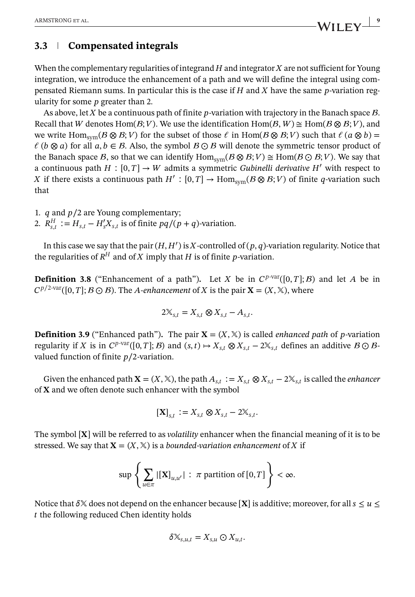## **3.3 Compensated integrals**

When the complementary regularities of integrand  $H$  and integrator  $X$  are not sufficient for Young integration, we introduce the enhancement of a path and we will define the integral using compensated Riemann sums. In particular this is the case if  $H$  and  $X$  have the same  $p$ -variation regularity for some  $p$  greater than 2.

As above, let  $X$  be a continuous path of finite  $p$ -variation with trajectory in the Banach space  $B$ . Recall that W denotes Hom( $\mathcal{B}; V$ ). We use the identification Hom( $\mathcal{B}, W$ )  $\cong$  Hom( $\mathcal{B} \otimes \mathcal{B}; V$ ), and we write  $\text{Hom}_{\text{sym}}(B \otimes B; V)$  for the subset of those  $\ell$  in  $\text{Hom}(B \otimes B; V)$  such that  $\ell$  ( $a \otimes b$ ) =  $\ell$  ( $b \otimes a$ ) for all  $a, b \in B$ . Also, the symbol  $B \odot B$  will denote the symmetric tensor product of the Banach space B, so that we can identify  $\text{Hom}_{sym}(B \otimes B;V) \cong \text{Hom}(B \odot B;V)$ . We say that a continuous path  $H : [0, T] \rightarrow W$  admits a symmetric *Gubinelli derivative*  $H'$  with respect to X if there exists a continuous path  $H' : [0, T] \to \text{Hom}_{sym}(B \otimes B; V)$  of finite q-variation such that

- 1. *q* and  $p/2$  are Young complementary;
- 2.  $R_{s,t}^H := H_{s,t} H_s' X_{s,t}$  is of finite  $pq/(p+q)$ -variation.

In this case we say that the pair  $(H, H')$  is X-controlled of  $(p, q)$ -variation regularity. Notice that the regularities of  $R^H$  and of X imply that H is of finite p-variation.

**Definition 3.8** ("Enhancement of a path"). Let X be in  $C^{p\text{-var}}([0,T]; B)$  and let A be in  $C^{p/2\text{-}var}([0, T]; B \odot B)$ . The *A*-enhancement of *X* is the pair **X** =  $(X, \mathbb{X})$ , where

$$
2\mathbb{X}_{s,t} = X_{s,t} \otimes X_{s,t} - A_{s,t}.
$$

**Definition 3.9** ("Enhanced path"). The pair  $X = (X, \mathbb{X})$  is called *enhanced path* of *p*-variation regularity if X is in  $C^{p\text{-}\text{var}}([0, T]; B)$  and  $(s, t) \mapsto X_{s,t} \otimes X_{s,t} - 2X_{s,t}$  defines an additive  $B \odot B$ valued function of finite  $p/2$ -variation.

Given the enhanced path  $X = (X, \mathbb{X})$ , the path  $A_{s,t} := X_{s,t} \otimes X_{s,t} - 2\mathbb{X}_{s,t}$  is called the *enhancer* of  $X$  and we often denote such enhancer with the symbol

$$
[\mathbf{X}]_{s,t} := X_{s,t} \otimes X_{s,t} - 2X_{s,t}.
$$

The symbol  $[X]$  will be referred to as *volatility* enhancer when the financial meaning of it is to be stressed. We say that  $X = (X, \mathbb{X})$  is a *bounded-variation enhancement* of X if

$$
\sup \left\{ \sum_{u \in \pi} |[\mathbf{X}]_{u,u'}| : \pi \text{ partition of } [0,T] \right\} < \infty.
$$

Notice that  $\delta \mathbb{X}$  does not depend on the enhancer because [X] is additive; moreover, for all  $s \le u \le \delta$  $t$  the following reduced Chen identity holds

$$
\delta \mathbb{X}_{s,u,t} = X_{s,u} \odot X_{u,t}.
$$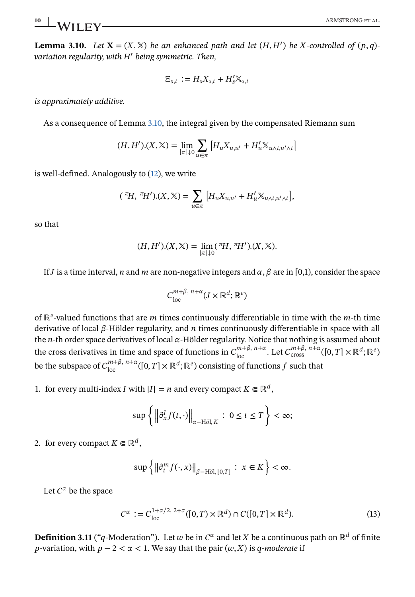<span id="page-9-0"></span>**Lemma 3.10.** Let  $X = (X, X)$  be an enhanced path and let  $(H, H')$  be X-controlled of  $(p, q)$ *variation regularity, with*  $H'$  *being symmetric. Then,* 

$$
\Xi_{s,t} := H_s X_{s,t} + H'_s \mathbb{X}_{s,t}
$$

*is approximately additive.*

As a consequence of Lemma 3.10, the integral given by the compensated Riemann sum

$$
(H, H').(X, \mathbb{X}) = \lim_{|\pi| \downarrow 0} \sum_{u \in \pi} \left[ H_u X_{u, u'} + H'_u \mathbb{X}_{u \wedge t, u' \wedge t} \right]
$$

is well-defined. Analogously to [\(12\)](#page-7-0), we write

$$
({}^\pi H, {}^\pi H').(X, \mathbb{X}) = \sum_{u \in \pi} \left[ H_u X_{u, u'} + H_u' \mathbb{X}_{u \wedge t, u' \wedge t} \right],
$$

so that

$$
(H, H').(X, \mathbb{X}) = \lim_{|\pi| \downarrow 0} (\pi H, \pi H').(X, \mathbb{X}).
$$

If *J* is a time interval, *n* and *m* are non-negative integers and  $\alpha$ ,  $\beta$  are in [0,1], consider the space

$$
C^{m+\beta, n+\alpha}_{\text{loc}}(J \times \mathbb{R}^d; \mathbb{R}^e)
$$

of  $\mathbb{R}^e$ -valued functions that are *m* times continuously differentiable in time with the *m*-th time derivative of local  $\beta$ -Hölder regularity, and *n* times continuously differentiable in space with all the  $n$ -th order space derivatives of local  $\alpha$ -Hölder regularity. Notice that nothing is assumed about the cross derivatives in time and space of functions in  $C_{\text{loc}}^{m+\beta, n+\alpha}$ . Let  $C_{\text{cross}}^{m+\beta, n+\alpha}([0, T] \times \mathbb{R}^d; \mathbb{R}^e)$ be the subspace of  $C_{\text{loc}}^{m+\beta, n+\alpha}([0, T] \times \mathbb{R}^d; \mathbb{R}^e)$  consisting of functions f such that

1. for every multi-index *I* with  $|I| = n$  and every compact  $K \in \mathbb{R}^d$ ,

$$
\sup\left\{\left\|\partial_x^I f(t,\cdot)\right\|_{\alpha-\text{H\"{o}l},K}:\ 0\leq t\leq T\right\}<\infty;
$$

2. for every compact  $K \in \mathbb{R}^d$ ,

$$
\sup\left\{\left\|\partial_t^m f(\cdot,x)\right\|_{\beta-\text{H\"{o}l},\,[0,T]}:\ x\in K\right\}<\infty.
$$

Let  $C^{\alpha}$  be the space

$$
C^{\alpha} := C_{\text{loc}}^{1+\alpha/2, 2+\alpha}([0, T) \times \mathbb{R}^d) \cap C([0, T] \times \mathbb{R}^d). \tag{13}
$$

**Definition 3.11** ("q-Moderation"). Let w be in  $C^{\alpha}$  and let X be a continuous path on  $\mathbb{R}^d$  of finite *p*-variation, with  $p - 2 < \alpha < 1$ . We say that the pair  $(w, X)$  is q-moderate if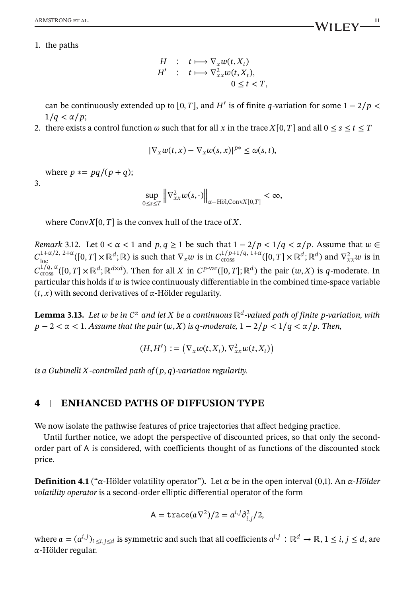<span id="page-10-0"></span>1. the paths

$$
H : t \longmapsto \nabla_x w(t, X_t)
$$
  
\n
$$
H' : t \longmapsto \nabla_{xx}^2 w(t, X_t),
$$
  
\n
$$
0 \le t < T,
$$

can be continuously extended up to [0, T], and H' is of finite q-variation for some  $1 - 2/p$  <  $1/q < \alpha/p$ ;

2. there exists a control function  $\omega$  such that for all x in the trace  $X[0, T]$  and all  $0 \le s \le t \le T$ 

$$
|\nabla_x w(t,x) - \nabla_x w(s,x)|^{p*} \leq \omega(s,t),
$$

where  $p \equiv pq/(p + q);$ 

3.

$$
\sup_{0\leq s\leq T}\left\|\nabla^2_{xx}w(s,\cdot)\right\|_{\alpha-\text{H\"ol,ConvX}[0,T]}<\infty,
$$

where Conv $X[0, T]$  is the convex hull of the trace of X.

*Remark* 3.12. Let  $0 < \alpha < 1$  and  $p, q \ge 1$  be such that  $1 - 2/p < 1/q < \alpha/p$ . Assume that  $w \in$  $C_{\text{loc}}^{1+\alpha/2, 2+\alpha}([0,T]\times\mathbb{R}^d;\mathbb{R})$  is such that  $\nabla_x w$  is in  $C_{\text{cross}}^{1/p+1/q, 1+\alpha}([0,T]\times\mathbb{R}^d;\mathbb{R}^d)$  and  $\nabla_{xx}^2 w$  is in  $C_{\text{cross}}^{\tilde{1}/q, \alpha}([0,T] \times \mathbb{R}^d; \mathbb{R}^{d \times d})$ . Then for all X in  $C^{p\text{-}\text{var}}([0,T]; \mathbb{R}^d)$  the pair  $(w, X)$  is q-moderate. In particular this holds if  $w$  is twice continuously differentiable in the combined time-space variable  $(t, x)$  with second derivatives of  $\alpha$ -Hölder regularity.

**Lemma 3.13.** Let w be in  $C^{\alpha}$  and let X be a continuous  $\mathbb{R}^d$ -valued path of finite p-variation, with  $p-2 < \alpha < 1$ . Assume that the pair  $(w, X)$  is q-moderate,  $1 - 2/p < 1/q < \alpha/p$ . Then,

$$
(H, H'): = \left(\nabla_x w(t, X_t), \nabla_{xx}^2 w(t, X_t)\right)
$$

*is a Gubinelli X-controlled path of*  $(p, q)$ -variation regularity.

### **4 ENHANCED PATHS OF DIFFUSION TYPE**

We now isolate the pathwise features of price trajectories that affect hedging practice.

Until further notice, we adopt the perspective of discounted prices, so that only the secondorder part of is considered, with coefficients thought of as functions of the discounted stock price.

**Definition 4.1** (" $\alpha$ -Hölder volatility operator"). Let  $\alpha$  be in the open interval (0,1). An  $\alpha$ -*Hölder volatility operator* is a second-order elliptic differential operator of the form

$$
A = \text{trace}(\mathfrak{a}\nabla^2)/2 = a^{i,j}\partial_{i,j}^2/2,
$$

where  $a = (a^{i,j})_{1 \le i,j \le d}$  is symmetric and such that all coefficients  $a^{i,j} : \mathbb{R}^d \to \mathbb{R}, 1 \le i, j \le d$ , are -Hölder regular.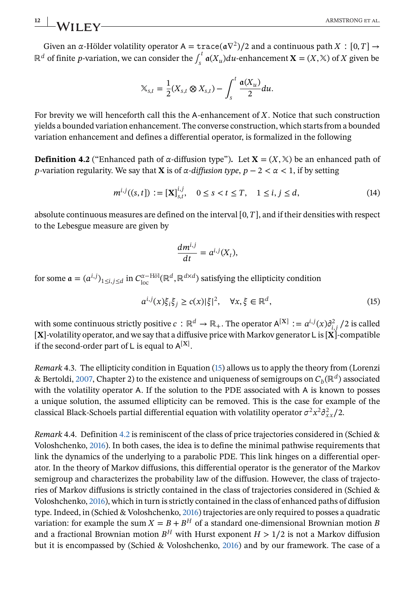Given an  $\alpha$ -Hölder volatility operator  $A = \text{trace}(\alpha \nabla^2)/2$  and a continuous path  $X : [0, T] \rightarrow$  $\mathbb{R}^d$  of finite p-variation, we can consider the  $\int_s^t \mathfrak{a}(X_u) du$ -enhancement  $\mathbf{X} = (X, \mathbb{X})$  of X given be

$$
\mathbb{X}_{s,t} = \frac{1}{2}(X_{s,t} \otimes X_{s,t}) - \int_s^t \frac{\mathfrak{a}(X_u)}{2} du.
$$

For brevity we will henceforth call this the A-enhancement of  $X$ . Notice that such construction yields a bounded variation enhancement. The converse construction, which starts from a bounded variation enhancement and defines a differential operator, is formalized in the following

**Definition 4.2** ("Enhanced path of  $\alpha$ -diffusion type"). Let  $X = (X, \mathbb{X})$  be an enhanced path of p-variation regularity. We say that **X** is of  $\alpha$ -diffusion type,  $p - 2 < \alpha < 1$ , if by setting

$$
m^{i,j}((s,t]) := [\mathbf{X}]_{s,t}^{i,j}, \quad 0 \le s < t \le T, \quad 1 \le i, j \le d,\tag{14}
$$

absolute continuous measures are defined on the interval  $[0, T]$ , and if their densities with respect to the Lebesgue measure are given by

$$
\frac{dm^{i,j}}{dt}=a^{i,j}(X_t),
$$

for some  $\mathfrak{a} = (a^{i,j})_{1 \leq i,j \leq d}$  in  $C_{loc}^{\alpha-\text{H\"{o}l}}(\mathbb{R}^d, \mathbb{R}^{d \times d})$  satisfying the ellipticity condition

$$
a^{i,j}(x)\xi_i\xi_j \ge c(x)|\xi|^2, \quad \forall x, \xi \in \mathbb{R}^d,
$$
\n(15)

with some continuous strictly positive  $c: \mathbb{R}^d \to \mathbb{R}_+$ . The operator  $\mathsf{A}^{[\mathbf{X}]} := a^{i,j}(x) \partial^2_{i,j}/2$  is called  $[X]$ -volatility operator, and we say that a diffusive price with Markov generator L is  $[X]$ -compatible if the second-order part of L is equal to  $A^{[X]}$ .

*Remark* 4.3. The ellipticity condition in Equation (15) allows us to apply the theory from (Lorenzi & Bertoldi, [2007,](#page-25-0) Chapter 2) to the existence and uniqueness of semigroups on  $C_h(\mathbb{R}^d)$  associated with the volatility operator A. If the solution to the PDE associated with A is known to posses a unique solution, the assumed ellipticity can be removed. This is the case for example of the classical Black-Schoels partial differential equation with volatility operator  $\sigma^2 x^2 \partial^2_{xx}/2$ .

*Remark* 4.4. Definition 4.2 is reminiscent of the class of price trajectories considered in (Schied & Voloshchenko, [2016\)](#page-25-0). In both cases, the idea is to define the minimal pathwise requirements that link the dynamics of the underlying to a parabolic PDE. This link hinges on a differential operator. In the theory of Markov diffusions, this differential operator is the generator of the Markov semigroup and characterizes the probability law of the diffusion. However, the class of trajectories of Markov diffusions is strictly contained in the class of trajectories considered in (Schied & Voloshchenko, [2016\)](#page-25-0), which in turn is strictly contained in the class of enhanced paths of diffusion type. Indeed, in (Schied & Voloshchenko, [2016\)](#page-25-0) trajectories are only required to posses a quadratic variation: for example the sum  $X = B + B<sup>H</sup>$  of a standard one-dimensional Brownian motion B and a fractional Brownian motion  $B<sup>H</sup>$  with Hurst exponent  $H > 1/2$  is not a Markov diffusion but it is encompassed by (Schied & Voloshchenko, [2016\)](#page-25-0) and by our framework. The case of a

<span id="page-11-0"></span>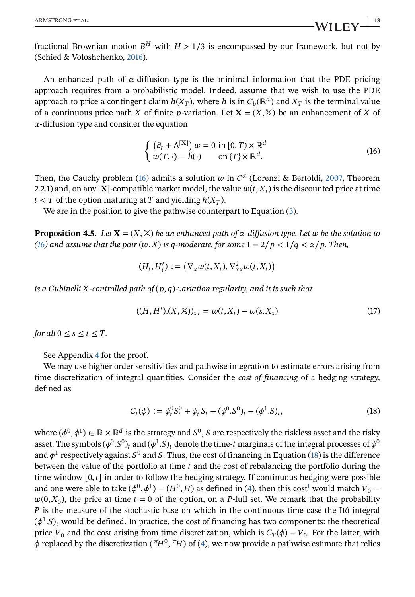<span id="page-12-0"></span>fractional Brownian motion  $B<sup>H</sup>$  with  $H > 1/3$  is encompassed by our framework, but not by (Schied & Voloshchenko, [2016\)](#page-25-0).

An enhanced path of  $\alpha$ -diffusion type is the minimal information that the PDE pricing approach requires from a probabilistic model. Indeed, assume that we wish to use the PDE approach to price a contingent claim  $h(X_T)$ , where h is in  $C_b(\mathbb{R}^d)$  and  $X_T$  is the terminal value of a continuous price path X of finite p-variation. Let  $X = (X, \mathbb{X})$  be an enhancement of X of  $\alpha$ -diffusion type and consider the equation

$$
\begin{cases} (\partial_t + A^{[X]}) w = 0 \text{ in } [0, T) \times \mathbb{R}^d \\ w(T, \cdot) = \tilde{h}(\cdot) \qquad \text{on } \{T\} \times \mathbb{R}^d. \end{cases}
$$
 (16)

Then, the Cauchy problem (16) admits a solution w in  $C^{\alpha}$  (Lorenzi & Bertoldi, [2007,](#page-25-0) Theorem 2.2.1) and, on any [X]-compatible market model, the value  $w(t, X_t)$  is the discounted price at time  $t < T$  of the option maturing at T and yielding  $h(X_T)$ .

We are in the position to give the pathwise counterpart to Equation [\(3\)](#page-4-0).

**Proposition 4.5.** *Let*  $X = (X, X)$  *be an enhanced path of*  $\alpha$ -diffusion type. Let w be the solution to *(16) and assume that the pair*  $(w, X)$  *is q-moderate, for some*  $1 - 2/p < 1/q < \alpha/p$ . Then,

$$
(H_t, H'_t) := \left(\nabla_x w(t, X_t), \nabla_{xx}^2 w(t, X_t)\right)
$$

*is a Gubinelli X-controlled path of*  $(p, q)$ -variation regularity, and it is such that

$$
((H, H').(X, \mathbb{X}))_{s,t} = w(t, X_t) - w(s, X_s)
$$
\n(17)

*for all*  $0 \leq s \leq t \leq T$ .

See Appendix [4](#page-10-0) for the proof.

We may use higher order sensitivities and pathwise integration to estimate errors arising from time discretization of integral quantities. Consider the *cost of financing* of a hedging strategy, defined as

$$
C_t(\phi) := \phi_t^0 S_t^0 + \phi_t^1 S_t - (\phi^0 . S^0)_t - (\phi^1 . S)_t, \qquad (18)
$$

where  $(\phi^0, \phi^1) \in \mathbb{R} \times \mathbb{R}^d$  is the strategy and  $S^0$ , S are respectively the riskless asset and the risky asset. The symbols  $(\phi^0.S^0)_t$  and  $(\phi^1.S)_t$  denote the time-t marginals of the integral processes of  $\phi^0$ and  $\phi^1$  respectively against  $S^0$  and S. Thus, the cost of financing in Equation (18) is the difference between the value of the portfolio at time  $t$  and the cost of rebalancing the portfolio during the time window  $[0, t]$  in order to follow the hedging strategy. If continuous hedging were possible and one were able [t](#page-25-0)o take  $(\phi^0, \phi^1) = (H^0, H)$  as defined in [\(4\)](#page-4-0), then this cost<sup>1</sup> would match  $V_0 =$  $w(0, X_0)$ , the price at time  $t = 0$  of the option, on a P-full set. We remark that the probability  *is the measure of the stochastic base on which in the continuous-time case the Itô integral*  $(\phi^1.S)_t$  would be defined. In practice, the cost of financing has two components: the theoretical price  $V_0$  and the cost arising from time discretization, which is  $C_T(\phi) - V_0$ . For the latter, with  $\phi$  replaced by the discretization ( $\pi H^0$ ,  $\pi H$ ) of [\(4\)](#page-4-0), we now provide a pathwise estimate that relies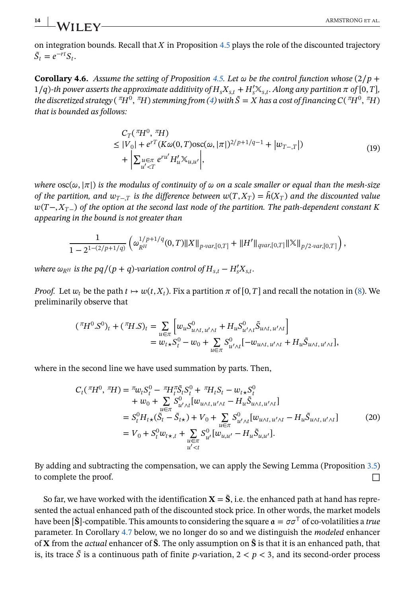## <span id="page-13-0"></span>**14** ARMSTRONG ET AL.

on integration bounds. Recall that  $X$  in Proposition [4.5](#page-12-0) plays the role of the discounted trajectory  $\tilde{S}_t = e^{-rt}S_t.$ 

**Corollary 4.6.** *Assume the setting of Proposition [4.5.](#page-12-0) Let*  $\omega$  be the control function whose  $\left(2/p + \frac{1}{2}\right)$  $1/q$ )-th power asserts the approximate additivity of  $H_s X_{s,t} + H'_s \mathbb{X}_{s,t}$ . Along any partition  $\pi$  of  $[0,T]$ , *the discretized strategy* ( ${}^{\pi}H^0$ ,  ${}^{\pi}H$ ) *stemming from* [\(4\)](#page-4-0) *with*  $\tilde{S} = X$  has a cost of financing  $C({}^{\pi}H^0, {}^{\pi}H)$ *that is bounded as follows:*

$$
C_{T}(\pi_{H^{0}}^{T}, \pi_{H})
$$
\n
$$
\leq |V_{0}| + e^{rT}(K\omega(0, T)\operatorname{osc}(\omega, |\pi|)^{2/p+1/q-1} + |w_{T-\mathcal{T}}|)
$$
\n
$$
+ \left| \sum_{u' < T} e^{ru'} H'_{u} \mathbb{X}_{u, u'} \right|, \tag{19}
$$

*where*  $\csc(\omega, |\pi|)$  *is the modulus of continuity of*  $\omega$  *on a scale smaller or equal than the mesh-size of the partition, and*  $w_{T-T}$  *is the difference between*  $w(T, X_T) = \tilde{h}(X_T)$  *and the discounted value*  $w(T-X_{T-})$  of the option at the second last node of the partition. The path-dependent constant K *appearing in the bound is not greater than*

$$
\frac{1}{1-2^{1-(2/p+1/q)}}\left( \omega_{R^H}^{1/p+1/q}(0,T)\|X\|_{p\text{-}\mathrm{var},[0,T]}+\|H'\|_{q\mathrm{var},[0,T]}\|\mathbb{X}\|_{p/2\text{-}\mathrm{var},[0,T]}\right),
$$

*where*  $\omega_{RH}$  is the  $pq/(p+q)$ -variation control of  $H_{s,t} - H'_s X_{s,t}$ .

*Proof.* Let  $w_t$  be the path  $t \mapsto w(t, X_t)$ . Fix a partition  $\pi$  of [0, T] and recall the notation in [\(8\)](#page-5-0). We preliminarily observe that

$$
\begin{aligned} (\tau H^0 . S^0)_t + (\tau H . S)_t &= \sum_{u \in \pi} \left[ w_u S^0_{u \wedge t, u' \wedge t} + H_u S^0_{u' \wedge t} \tilde{S}_{u \wedge t, u' \wedge t} \right] \\ &= w_{t \star} S^0_t - w_0 + \sum_{u \in \pi} S^0_{u' \wedge t} [-w_{u \wedge t, u' \wedge t} + H_u \tilde{S}_{u \wedge t, u' \wedge t}], \end{aligned}
$$

where in the second line we have used summation by parts. Then,

$$
C_{t}(\tau H^{0}, \tau H) = \tau_{W_{t}} S_{t}^{0} - \tau H_{t}^{\pi} S_{t} S_{t}^{0} + \tau H_{t} S_{t} - w_{t} S_{t}^{0}
$$
  
+  $w_{0} + \sum_{u \in \pi} S_{u \prime \wedge t}^{0} [w_{u \wedge t, u' \wedge t} - H_{u} \tilde{S}_{u \wedge t, u' \wedge t}]$   
=  $S_{t}^{0} H_{t} \star (\tilde{S}_{t} - \tilde{S}_{t} \star) + V_{0} + \sum_{u \in \pi} S_{u' \wedge t}^{0} [w_{u \wedge t, u' \wedge t} - H_{u} \tilde{S}_{u \wedge t, u' \wedge t}]$   
=  $V_{0} + S_{t}^{0} w_{t} \star, t + \sum_{\substack{u \in \pi \\ u' < t}} S_{u'}^{0} [w_{u, u'} - H_{u} \tilde{S}_{u, u'}].$  (20)

By adding and subtracting the compensation, we can apply the Sewing Lemma (Proposition [3.5\)](#page-6-0) to complete the proof. □

So far, we have worked with the identification  ${\bf X} = \tilde{\bf S}$ , i.e. the enhanced path at hand has represented the actual enhanced path of the discounted stock price. In other words, the market models have been [**S**]-compatible. This amounts to considering the square  $\alpha = \sigma \sigma^T$  of co-volatilities a *true* parameter. In Corollary [4.7](#page-14-0) below, we no longer do so and we distinguish the *modeled* enhancer of **X** from the *actual* enhancer of **Š**. The only assumption on **Š** is that it is an enhanced path, that is, its trace  $\tilde{S}$  is a continuous path of finite p-variation,  $2 < p < 3$ , and its second-order process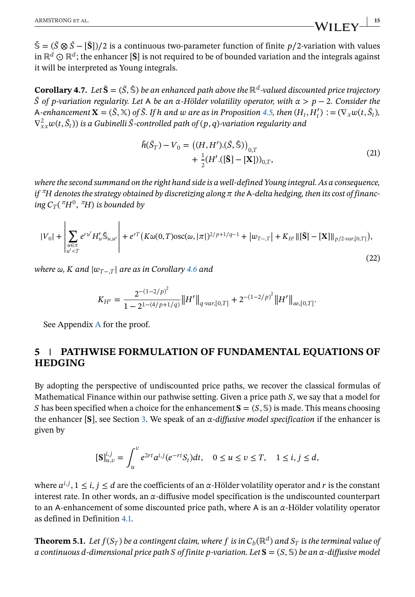<span id="page-14-0"></span> $\tilde{\mathbb{S}} = (\tilde{S} \otimes \tilde{S} - [\tilde{S}])/2$  is a continuous two-parameter function of finite  $p/2$ -variation with values in  $\mathbb{R}^d$  ⊙  $\mathbb{R}^d$ ; the enhancer  $[\tilde{\mathbf{S}}]$  is not required to be of bounded variation and the integrals against it will be interpreted as Young integrals.

**Corollary 4.7.** *Let*  $\tilde{\mathbf{S}} = (\tilde{S}, \tilde{\mathbf{S}})$  *be an enhanced path above the*  $\mathbb{R}^d$ -valued discounted price trajectory ̃ *of -variation regularity. Let be an -Hölder volatility operator, with* >−2*. Consider the A*-enhancement  $\mathbf{X} = (\tilde{S}, \tilde{\mathbf{x}})$  of  $\tilde{S}$ . If h and  $\omega$  are as in Proposition [4.5,](#page-12-0) then  $(H_t, H'_t) := (\nabla_x w(t, \tilde{S}_t))$  $\nabla_{xx}^2 w(t, \tilde{S}_t)$ ) is a Gubinelli  $\tilde{S}$ -controlled path of  $(p, q)$ -variation regularity and

$$
\tilde{h}(\tilde{S}_T) - V_0 = ((H, H').(\tilde{S}, \tilde{\mathbb{S}}))_{0,T} \n+ \frac{1}{2}(H'.([\tilde{S}] - [X]))_{0,T},
$$
\n(21)

*where the second summand on the right hand side is a well-defined Young integral. As a consequence, if*  ${}^{\pi}H$  denotes the strategy obtained by discretizing along  $\pi$  the A-delta hedging, then its cost of financ*ing*  $C_T$ ( $\pi H^0$ ,  $\pi H$ ) *is bounded by* 

$$
|V_0| + \left| \sum_{\substack{u \in \pi \\ u' < T}} e^{ru'} H'_u \tilde{\mathbb{S}}_{u,u'} \right| + e^{rT} \left( K\omega(0,T) \text{osc}(\omega, |\pi|)^{2/p+1/q-1} + |w_{T-\mathcal{T}}| + K_{H'} \|\tilde{\mathbf{S}}\| - [\mathbf{X}]\|_{p/2 \cdot var, [0,T]} \right),\tag{22}
$$

*where*  $\omega$ , *K* and  $|w_{T-T}|$  are as in Corollary [4.6](#page-13-0) and

$$
K_{H'} = \frac{2^{-(1-2/p)^2}}{1-2^{1-(4/p+1/q)}} \|H'\|_{q\text{-}\text{var},[0,T]} + 2^{-(1-2/p)^2} \|H'\|_{\infty,[0,T]}.
$$

See Appendix A for the proof.

## **5 PATHWISE FORMULATION OF FUNDAMENTAL EQUATIONS OF HEDGING**

By adopting the perspective of undiscounted price paths, we recover the classical formulas of Mathematical Finance within our pathwise setting. Given a price path  $S$ , we say that a model for S has been specified when a choice for the enhancement  ${\bf S} = (S, \mathbb{S})$  is made. This means choosing the enhancer  $[S]$ , see Section [3.](#page-4-0) We speak of an  $\alpha$ -diffusive model specification if the enhancer is given by

$$
[\mathbf{S}]_{u,v}^{i,j} = \int_{u}^{v} e^{2rt} a^{i,j} (e^{-rt} S_t) dt, \quad 0 \le u \le v \le T, \quad 1 \le i, j \le d,
$$

where  $a^{i,j}$ ,  $1 \le i, j \le d$  are the coefficients of an  $\alpha$ -Hölder volatility operator and r is the constant interest rate. In other words, an  $\alpha$ -diffusive model specification is the undiscounted counterpart to an A-enhancement of some discounted price path, where A is an  $\alpha$ -Hölder volatility operator as defined in Definition [4.1.](#page-10-0)

**Theorem 5.1.** *Let*  $f(S_T)$  *be a contingent claim, where*  $f$  *is in*  $C_b(\mathbb{R}^d)$  *and*  $S_T$  *is the terminal value of a continuous d-dimensional price path S* of finite *p*-variation. Let  $S = (S, \mathbb{S})$  be an  $\alpha$ -diffusive model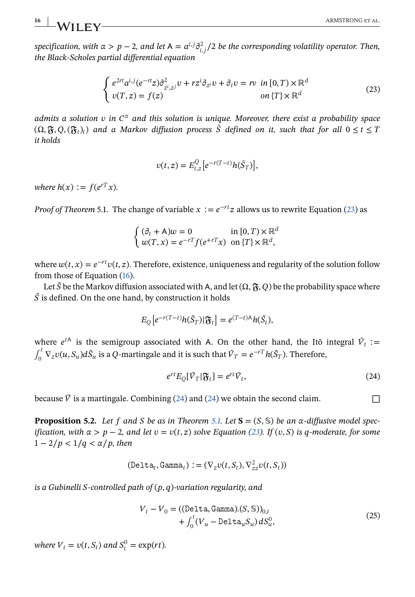<span id="page-15-0"></span> $s$ pecification, with  $\alpha > p-2$ , and let  $\mathsf{A}=a^{i,j}\partial_{i,j}^2/2$  be the corresponding volatility operator. Then, *the Black-Scholes partial differential equation*

$$
\begin{cases}\ne^{2rt}a^{i,j}(e^{-rt}z)\partial_{z^i,z^j}^2v + rz^i\partial_{z^i}v + \partial_t v = rv\text{ in } [0,T) \times \mathbb{R}^d\\ v(T,z) = f(z) & \text{ on } \{T\} \times \mathbb{R}^d\end{cases}
$$
\n(23)

*admits a solution*  $v$  *in*  $C^{\alpha}$  *and this solution is unique. Moreover, there exist a probability space*  $(\Omega, \mathfrak{F}, O, (\mathfrak{F}_t)_t)$  and a Markov diffusion process  $\tilde{S}$  defined on it, such that for all  $0 \le t \le T$ *it holds*

$$
v(t,z) = E_{t,z}^Q \left[ e^{-r(T-t)} h(\tilde{S}_T) \right],
$$

*where*  $h(x) := f(e^{rT}x)$ .

*Proof of Theorem* 5.1. The change of variable  $x := e^{-rt}z$  allows us to rewrite Equation (23) as

$$
\begin{cases} (\partial_t + A)w = 0 & \text{in } [0, T) \times \mathbb{R}^d \\ w(T, x) = e^{-rT} f(e^{+rT} x) & \text{on } \{T\} \times \mathbb{R}^d, \end{cases}
$$

where  $w(t, x) = e^{-rt}v(t, z)$ . Therefore, existence, uniqueness and regularity of the solution follow from those of Equation [\(16\)](#page-12-0).

Let  $\tilde{S}$  be the Markov diffusion associated with A, and let  $(\Omega, \mathfrak{F}, Q)$  be the probability space where  $\tilde{S}$  is defined. On the one hand, by construction it holds

$$
E_Q[e^{-r(T-t)}h(\tilde{S}_T)|\mathfrak{F}_t] = e^{(T-t)A}h(\tilde{S}_t),
$$

where  $e^{tA}$  is the semigroup associated with A. On the other hand, the Itô integral  $\tilde{V}_t$  :=  $\int_0^t \nabla_z v(u, S_u) d\tilde{S}_u$  is a Q-martingale and it is such that  $\tilde{V}_T = e^{-rT} h(\tilde{S}_T)$ . Therefore,

$$
e^{rt}E_Q[\tilde{V}_T|\mathfrak{F}_t] = e^{rt}\tilde{V}_t,\tag{24}
$$

because  $\tilde{V}$  is a martingale. Combining (24) and (24) we obtain the second claim.

**Proposition 5.2.** Let f and S be as in Theorem [5.1.](#page-14-0) Let  $S = (S, \mathbb{S})$  be an  $\alpha$ -diffusive model spec*ification, with*  $\alpha > p-2$ *, and let*  $v = v(t, z)$  *solve Equation (23). If* (v, S) *is q-moderate, for some*  $1 - 2/p < 1/q < \alpha/p$ , then

$$
(\text{Delta}_t, \text{Gamma}_t) := (\nabla_z v(t, S_t), \nabla_{zz}^2 v(t, S_t))
$$

*is a Gubinelli S-controlled path of*  $(p, q)$ -variation regularity, and

$$
V_t - V_0 = ((\text{Delta}, \text{Gamma}). (S, \mathbb{S}))_{0,t}
$$
  
+ 
$$
\int_0^t (V_u - \text{Delta}_u S_u) dS_u^0,
$$
 (25)

where  $V_t = v(t, S_t)$  and  $S_t^0 = \exp(rt)$ .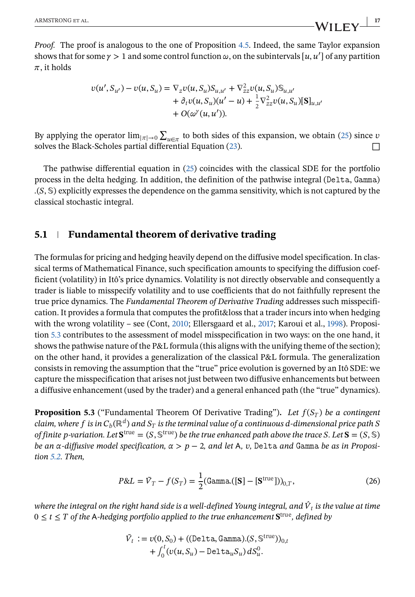<span id="page-16-0"></span>*Proof.* The proof is analogous to the one of Proposition [4.5.](#page-12-0) Indeed, the same Taylor expansion shows that for some  $\gamma > 1$  and some control function  $\omega$ , on the subintervals  $[u, u']$  of any partition  $\pi$ , it holds

$$
v(u', S_{u'}) - v(u, S_u) = \nabla_z v(u, S_u) S_{u, u'} + \nabla_{zz}^2 v(u, S_u) S_{u, u'}
$$
  
+  $\partial_t v(u, S_u)(u' - u) + \frac{1}{2} \nabla_{zz}^2 v(u, S_u)[S]_{u, u'}$   
+  $O(\omega^{\gamma}(u, u')).$ 

By applying the operator  $\lim_{|\pi| \to 0} \sum_{u \in \pi}$  to both sides of this expansion, we obtain [\(25\)](#page-15-0) since v solves the Black-Scholes partial differential Equation  $(23)$ .

The pathwise differential equation in [\(25\)](#page-15-0) coincides with the classical SDE for the portfolio process in the delta hedging. In addition, the definition of the pathwise integral (Delta, Gamma)  $(S, \mathbb{S})$  explicitly expresses the dependence on the gamma sensitivity, which is not captured by the classical stochastic integral.

## **5.1 Fundamental theorem of derivative trading**

The formulas for pricing and hedging heavily depend on the diffusive model specification. In classical terms of Mathematical Finance, such specification amounts to specifying the diffusion coefficient (volatility) in Itô's price dynamics. Volatility is not directly observable and consequently a trader is liable to misspecify volatility and to use coefficients that do not faithfully represent the true price dynamics. The *Fundamental Theorem of Derivative Trading* addresses such misspecification. It provides a formula that computes the profit&loss that a trader incurs into when hedging with the wrong volatility – see (Cont, [2010;](#page-25-0) Ellersgaard et al., [2017;](#page-25-0) Karoui et al., [1998\)](#page-25-0). Proposition 5.3 contributes to the assessment of model misspecification in two ways: on the one hand, it shows the pathwise nature of the P&L formula (this aligns with the unifying theme of the section); on the other hand, it provides a generalization of the classical P&L formula. The generalization consists in removing the assumption that the "true" price evolution is governed by an Itô SDE: we capture the misspecification that arises not just between two diffusive enhancements but between a diffusive enhancement (used by the trader) and a general enhanced path (the "true" dynamics).

**Proposition 5.3** ("Fundamental Theorem Of Derivative Trading"). Let  $f(S_T)$  be a contingent *claim, where*  $f$  *is in*  $C_b(\mathbb{R}^d)$  and  $S_T$  *is the terminal value of a continuous d-dimensional price path* S *of finite p*-variation. Let  $S<sup>true</sup> = (S, S<sup>true</sup>)$  *be the true enhanced path above the trace S*. Let  $S = (S, S)$ *be an*  $\alpha$ -diffusive model specification,  $\alpha > p - 2$ , and let A, v, Delta and Gamma be as in Proposi*tion [5.2.](#page-15-0) Then,*

$$
P&L = \tilde{V}_T - f(S_T) = \frac{1}{2}(\text{Gamma}([S] - [S^{\text{true}}]))_{0,T},\tag{26}
$$

*where the integral on the right hand side is a well-defined Young integral, and*  $\hat{V}_t$  *is the value at time*  $0 \le t \le T$  of the A-hedging portfolio applied to the true enhancement  $S<sup>true</sup>$ , defined by

$$
\tilde{V}_t := v(0, S_0) + ((\text{Delta}, \text{Gamma}).(S, \mathbb{S}^{\text{true}}))_{0,t}
$$

$$
+ \int_0^t (v(u, S_u) - \text{Delta}_u S_u) dS_u^0.
$$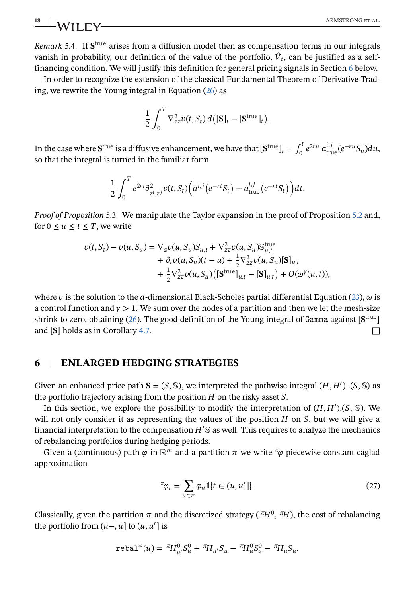*Remark* 5.4. If  $S<sup>true</sup>$  arises from a diffusion model then as compensation terms in our integrals vanish in probability, our definition of the value of the portfolio,  $\hat{V}_t$ , can be justified as a selffinancing condition. We will justify this definition for general pricing signals in Section 6 below.

In order to recognize the extension of the classical Fundamental Theorem of Derivative Trading, we rewrite the Young integral in Equation [\(26\)](#page-16-0) as

$$
\frac{1}{2}\int_0^T \nabla^2_{zz} v(t,S_t) d\big([\mathbf{S}]_t - [\mathbf{S}^{\text{true}}]_t\big).
$$

In the case where  ${\bf S}^{\rm true}$  is a diffusive enhancement, we have that  $[{\bf S}^{\rm true}]_t=\int_0^t e^{2ru}\,a^{i,j}_{\rm true}(e^{-ru}S_u)du,$ so that the integral is turned in the familiar form

$$
\frac{1}{2}\int_0^T e^{2rt} \partial^2_{z^i,z^j}v(t,S_t)\Big(a^{i,j}\big(e^{-rt}S_t\big)-a^{i,j}_{\text{true}}\big(e^{-rt}S_t\big)\Big)dt.
$$

*Proof of Proposition* 5.3. We manipulate the Taylor expansion in the proof of Proposition [5.2](#page-15-0) and, for  $0 \le u \le t \le T$ , we write

$$
v(t, S_t) - v(u, S_u) = \nabla_z v(u, S_u) S_{u,t} + \nabla_{zz}^2 v(u, S_u) S_{u,t}^{\text{true}}
$$
  
+  $\partial_t v(u, S_u)(t - u) + \frac{1}{2} \nabla_{zz}^2 v(u, S_u) [\mathbf{S}]_{u,t}$   
+  $\frac{1}{2} \nabla_{zz}^2 v(u, S_u) ([\mathbf{S}^{\text{true}}]_{u,t} - [\mathbf{S}]_{u,t}) + O(\omega^{\gamma}(u,t)),$ 

where v is the solution to the d-dimensional Black-Scholes partial differential Equation [\(23\)](#page-15-0),  $\omega$  is a control function and  $\gamma > 1$ . We sum over the nodes of a partition and then we let the mesh-size shrink to zero, obtaining [\(26\)](#page-16-0). The good definition of the Young integral of Gamma against  $[S<sup>true</sup>]$ and  $[S]$  holds as in Corollary [4.7.](#page-14-0)  $\Box$ 

### **6 ENLARGED HEDGING STRATEGIES**

Given an enhanced price path  $S = (S, \mathbb{S})$ , we interpreted the pathwise integral  $(H, H')$ .  $(S, \mathbb{S})$  as the portfolio trajectory arising from the position  $H$  on the risky asset  $S$ .

In this section, we explore the possibility to modify the interpretation of  $(H, H')$ .  $(S, \mathbb{S})$ . We will not only consider it as representing the values of the position  $H$  on  $S$ , but we will give a financial interpretation to the compensation  $H' \mathcal{S}$  as well. This requires to analyze the mechanics of rebalancing portfolios during hedging periods.

Given a (continuous) path  $\varphi$  in ℝ<sup>*m*</sup> and a partition  $\pi$  we write  $\pi \varphi$  piecewise constant caglad approximation

$$
\pi_{\varphi_t} = \sum_{u \in \pi} \varphi_u \mathbb{1}\{t \in (u, u']\}.
$$
\n(27)

Classically, given the partition  $\pi$  and the discretized strategy ( $\pi H^0$ ,  $\pi H$ ), the cost of rebalancing the portfolio from  $(u-, u]$  to  $(u, u']$  is

$$
\text{rebal}^{\pi}(u) = \, ^{\pi}\!H_{u'}^0 S_u^0 + \, ^{\pi}\!H_{u'} S_u - \, ^{\pi}\!H_u^0 S_u^0 - \, ^{\pi}\!H_u S_u.
$$

<span id="page-17-0"></span>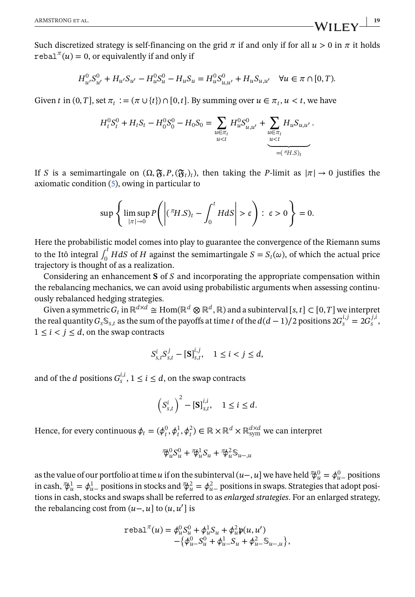Such discretized strategy is self-financing on the grid  $\pi$  if and only if for all  $u > 0$  in  $\pi$  it holds rebal<sup> $\pi(u) = 0$ , or equivalently if and only if</sup>

$$
H_{u'}^{0}S_{u'}^{0} + H_{u'}S_{u'} - H_{u}^{0}S_{u}^{0} - H_{u}S_{u} = H_{u}^{0}S_{u,u'}^{0} + H_{u}S_{u,u'} \quad \forall u \in \pi \cap [0,T).
$$

Given *t* in  $(0, T]$ , set  $\pi_t := (\pi \cup \{t\}) \cap [0, t]$ . By summing over  $u \in \pi_t$ ,  $u < t$ , we have

$$
H_t^0 S_t^0 + H_t S_t - H_0^0 S_0^0 - H_0 S_0 = \sum_{\substack{u \in \pi_t \\ u < t}} H_u^0 S_{u,u'}^0 + \underbrace{\sum_{u \in \pi_t} H_u S_{u,u'}}_{u < t}.
$$

If S is a semimartingale on  $(\Omega, \mathfrak{F}, P, (\mathfrak{F}_t)_t)$ , then taking the P-limit as  $|\pi| \to 0$  justifies the axiomatic condition [\(5\)](#page-4-0), owing in particular to

$$
\sup \left\{ \limsup_{|\pi| \to 0} P\left( \left| \left( {}^{\pi}H.S \right)_t - \int_0^t H dS \right| > \epsilon \right) : \ \epsilon > 0 \right\} = 0.
$$

Here the probabilistic model comes into play to guarantee the convergence of the Riemann sums to the Itô integral  $\int_0^t H dS$  of H against the semimartingale  $S = S_t(\omega)$ , of which the actual price trajectory is thought of as a realization.

Considering an enhancement  $S$  of  $S$  and incorporating the appropriate compensation within the rebalancing mechanics, we can avoid using probabilistic arguments when assessing continuously rebalanced hedging strategies.

Given a symmetric  $G_t$  in  $\mathbb{R}^{d \times d} \cong \text{Hom}(\mathbb{R}^d \otimes \mathbb{R}^d, \mathbb{R})$  and a subinterval  $[s, t] \subset [0, T]$  we interpret the real quantity  $G_s \mathbb{S}_{s,t}$  as the sum of the payoffs at time t of the  $d(d-1)/2$  positions  $2G_s^{i,j} = 2G_s^{j,i}$ ,  $1 \leq i \leq j \leq d$ , on the swap contracts

$$
S_{s,t}^i S_{s,t}^j - [\mathbf{S}]_{s,t}^{i,j}, \quad 1 \le i < j \le d,
$$

and of the *d* positions  $G_s^{i,i}$ ,  $1 \le i \le d$ , on the swap contracts

$$
\left(S_{s,t}^i\right)^2 - \left[\mathbf{S}\right]_{s,t}^{i,i}, \quad 1 \le i \le d.
$$

Hence, for every continuous  $\phi_t=(\phi_t^0,\phi_t^1,\phi_t^2)\in\mathbb{R}\times\mathbb{R}^d\times\mathbb{R}_\text{sym}^{d\times d}$  we can interpret

$$
\mathcal{F}_{u}^{0}S_{u}^{0} + \mathcal{F}_{u}^{1}S_{u} + \mathcal{F}_{u}^{2}S_{u-,u}
$$

as the value of our portfolio at time  $u$  if on the subinterval  $(u-, u]$  we have held  $\psi^0_u = \phi^0_{u-}$  positions in cash,  $\phi^1_u = \phi^1_u$  positions in stocks and  $\phi^2_u = \phi^2_u$  positions in swaps. Strategies that adopt positions in cash, stocks and swaps shall be referred to as *enlarged strategies*. For an enlarged strategy, the rebalancing cost from  $(u-, u]$  to  $(u, u']$  is

$$
\text{rebal}^{\pi}(u) = \phi_u^0 S_u^0 + \phi_u^1 S_u + \phi_u^2 \mathfrak{p}(u, u') - \{\phi_{u}^0 S_u^0 + \phi_{u}^1 S_u + \phi_{u}^2 S_{u-,u}\},
$$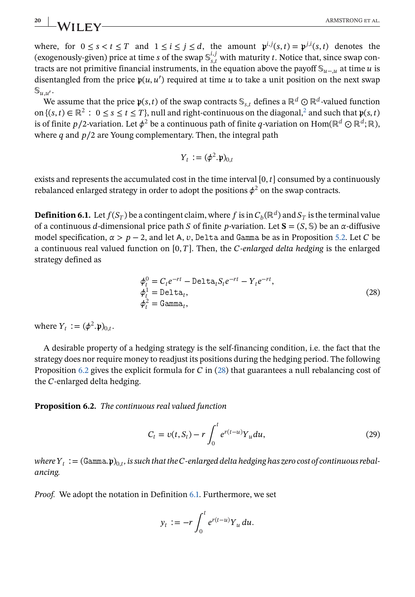<span id="page-19-0"></span>where, for  $0 \le s < t \le T$  and  $1 \le i \le j \le d$ , the amount  $\mathfrak{p}^{i,j}(s,t) = \mathfrak{p}^{j,i}(s,t)$  denotes the (exogenously-given) price at time s of the swap  $\mathbb{S}_{s,t}^{i,j}$  with maturity t. Notice that, since swap contracts are not primitive financial instruments, in the equation above the payoff  $\mathcal{S}_{u}$ <sub> $u$ </sub> at time *u* is disentangled from the price  $p(u, u')$  required at time u to take a unit position on the next swap  $\mathbb{S}_{u.u'}$ .

We assume that the price  $\mathfrak{p}(s, t)$  of the swap contracts  $\mathbb{S}_{s,t}$  defines a ℝ<sup>d</sup> ⊙ ℝ<sup>d</sup>-valued function on  $\{(s, t) \in \mathbb{R}^2 : 0 \le s \le t \le T\}$  $\{(s, t) \in \mathbb{R}^2 : 0 \le s \le t \le T\}$  $\{(s, t) \in \mathbb{R}^2 : 0 \le s \le t \le T\}$ , null and right-continuous on the diagonal,<sup>2</sup> and such that  $\mathfrak{p}(s, t)$ is of finite *p*/2-variation. Let  $\phi^2$  be a continuous path of finite *q*-variation on Hom(ℝ<sup>d</sup> ⊙ ℝ<sup>d</sup>; ℝ), where  $q$  and  $p/2$  are Young complementary. Then, the integral path

$$
Y_t := (\phi^2 . \mathfrak{p})_{0,t}
$$

exists and represents the accumulated cost in the time interval  $[0, t]$  consumed by a continuously rebalanced enlarged strategy in order to adopt the positions  $\phi^2$  on the swap contracts.

**Definition 6.1.** Let  $f(S_T)$  be a contingent claim, where f is in  $C_b(\mathbb{R}^d)$  and  $S_T$  is the terminal value of a continuous d-dimensional price path S of finite p-variation. Let  $S = (S, \mathbb{S})$  be an  $\alpha$ -diffusive model specification,  $\alpha > p-2$ , and let A, v, Delta and Gamma be as in Proposition [5.2.](#page-15-0) Let C be a continuous real valued function on  $[0, T]$ . Then, the *C-enlarged delta hedging* is the enlarged strategy defined as

$$
\begin{aligned}\n\phi_t^0 &= C_t e^{-rt} - \text{Delta}_t S_t e^{-rt} - Y_t e^{-rt}, \\
\phi_t^1 &= \text{Delta}_t, \\
\phi_t^2 &= \text{Gamma}_t,\n\end{aligned}\n\tag{28}
$$

where  $Y_t := (\phi^2 \cdot \mathfrak{p})_{0,t}$ .

A desirable property of a hedging strategy is the self-financing condition, i.e. the fact that the strategy does nor require money to readjust its positions during the hedging period. The following Proposition 6.2 gives the explicit formula for  $C$  in (28) that guarantees a null rebalancing cost of the  $C$ -enlarged delta hedging.

**Proposition 6.2.** *The continuous real valued function*

$$
C_t = v(t, S_t) - r \int_0^t e^{r(t-u)} Y_u du,
$$
\n(29)

*where*  $Y_t := (Gamma, \mathfrak{p})_{0,t}$ , is such that the *C*-enlarged delta hedging has zero cost of continuous rebal*ancing.*

*Proof.* We adopt the notation in Definition 6.1. Furthermore, we set

$$
y_t := -r \int_0^t e^{r(t-u)} Y_u \, du.
$$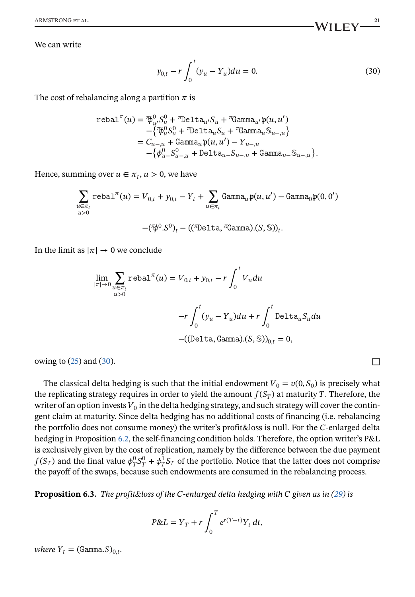We can write

$$
y_{0,t} - r \int_0^t (y_u - Y_u) du = 0.
$$
 (30)

The cost of rebalancing along a partition  $\pi$  is

$$
\begin{aligned} \texttt{rebal}^{\pi}(u) &= \mathcal{P}^0_{u'}S^0_u + \texttt{"Delta}_{u'}S_u + \texttt{"Gamma}_{u'}\mathfrak{p}(u,u') \\ &\quad - \left\{\mathcal{P}^0_uS^0_u + \texttt{"Delta}_{u}S_u + \texttt{"Gamma}_{u}\mathbb{S}_{u-u}\right\} \\ &= C_{u-,u} + \texttt{Gamma}_{u}\mathfrak{p}(u,u') - Y_{u-,u} \\ &\quad - \left\{\phi^0_u\_{u-,u} + \texttt{Delta}_{u-}S_{u-,u} + \texttt{Gamma}_{u-}\mathbb{S}_{u-,u}\right\}. \end{aligned}
$$

Hence, summing over  $u \in \pi_t$ ,  $u > 0$ , we have

$$
\sum_{\substack{u \in \pi_t \\ u > 0}} \text{rebal}^{\pi}(u) = V_{0,t} + y_{0,t} - Y_t + \sum_{u \in \pi_t} \text{Gamma}_{u} \mathfrak{p}(u, u') - \text{Gamma}_{0} \mathfrak{p}(0, 0')
$$
\n
$$
-(\overline{\psi}^0 \cdot S^0)_t - ((\text{Theta}^0 \text{data}, \overline{\eta} \text{gamma}).(S, \mathbb{S}))_t.
$$

In the limit as  $|\pi| \to 0$  we conclude

$$
\lim_{|\pi| \to 0} \sum_{u \in \pi_t} \text{rebal}^{\pi}(u) = V_{0,t} + y_{0,t} - r \int_0^t V_u du
$$

$$
-r \int_0^t (y_u - Y_u) du + r \int_0^t \text{Delta}_u S_u du
$$

$$
-((\text{Delta}, \text{Gamma}). (S, \mathbb{S}))_{0,t} = 0,
$$

owing to [\(25\)](#page-15-0) and (30).  $\Box$ 

The classical delta hedging is such that the initial endowment  $V_0 = v(0, S_0)$  is precisely what the replicating strategy requires in order to yield the amount  $f(S_T)$  at maturity T. Therefore, the writer of an option invests  $V_0$  in the delta hedging strategy, and such strategy will cover the contingent claim at maturity. Since delta hedging has no additional costs of financing (i.e. rebalancing the portfolio does not consume money) the writer's profit&loss is null. For the C-enlarged delta hedging in Proposition [6.2,](#page-19-0) the self-financing condition holds. Therefore, the option writer's P&L is exclusively given by the cost of replication, namely by the difference between the due payment  $f(S_T)$  and the final value  $\phi_T^0 S_T^0 + \phi_T^1 S_T$  of the portfolio. Notice that the latter does not comprise the payoff of the swaps, because such endowments are consumed in the rebalancing process.

**Proposition 6.3.** *The profit&loss of the -enlarged delta hedging with given as in [\(29\)](#page-19-0) is*

$$
P\&L=Y_T+r\int_0^T e^{r(T-t)}Y_t dt,
$$

*where*  $Y_t = (Gamma.S)_{0,t}$ .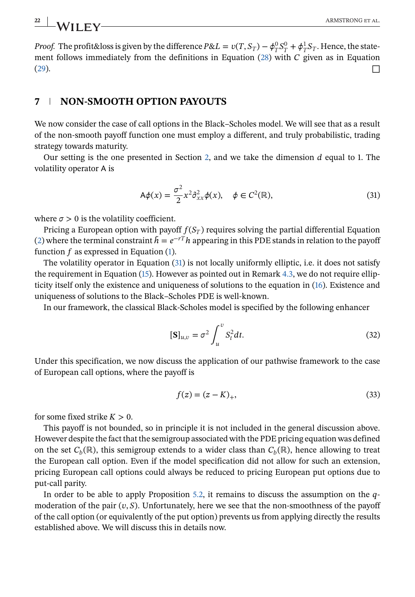*Proof.* The profit&loss is given by the difference  $P&L = v(T, S_T) - \phi_T^0 S_T^0 + \phi_T^1 S_T$ . Hence, the state-ment follows immediately from the definitions in Equation [\(28\)](#page-19-0) with  $C$  given as in Equation  $(29)$ .

### **7 NON-SMOOTH OPTION PAYOUTS**

We now consider the case of call options in the Black–Scholes model. We will see that as a result of the non-smooth payoff function one must employ a different, and truly probabilistic, trading strategy towards maturity.

Our setting is the one presented in Section [2,](#page-2-0) and we take the dimension  $d$  equal to 1. The volatility operator A is

$$
A\phi(x) = \frac{\sigma^2}{2}x^2\partial_{xx}^2\phi(x), \quad \phi \in C^2(\mathbb{R}),
$$
\n(31)

where  $\sigma > 0$  is the volatility coefficient.

Pricing a European option with payoff  $f(S_T)$  requires solving the partial differential Equation [\(2\)](#page-3-0) where the terminal constraint  $\tilde{h} = e^{-rT}h$  appearing in this PDE stands in relation to the payoff function  $f$  as expressed in Equation  $(1)$ .

The volatility operator in Equation (31) is not locally uniformly elliptic, i.e. it does not satisfy the requirement in Equation [\(15\)](#page-11-0). However as pointed out in Remark [4.3,](#page-11-0) we do not require ellipticity itself only the existence and uniqueness of solutions to the equation in [\(16\)](#page-12-0). Existence and uniqueness of solutions to the Black–Scholes PDE is well-known.

In our framework, the classical Black-Scholes model is specified by the following enhancer

$$
[\mathbf{S}]_{u,v} = \sigma^2 \int_u^v S_t^2 dt.
$$
\n(32)

Under this specification, we now discuss the application of our pathwise framework to the case of European call options, where the payoff is

$$
f(z) = (z - K)_{+},
$$
\n(33)

for some fixed strike  $K > 0$ .

This payoff is not bounded, so in principle it is not included in the general discussion above. However despite the fact that the semigroup associated with the PDE pricing equation was defined on the set  $C_b(\mathbb{R})$ , this semigroup extends to a wider class than  $C_b(\mathbb{R})$ , hence allowing to treat the European call option. Even if the model specification did not allow for such an extension, pricing European call options could always be reduced to pricing European put options due to put-call parity.

In order to be able to apply Proposition [5.2,](#page-15-0) it remains to discuss the assumption on the  $q$ moderation of the pair  $(v, S)$ . Unfortunately, here we see that the non-smoothness of the payoff of the call option (or equivalently of the put option) prevents us from applying directly the results established above. We will discuss this in details now.

<span id="page-21-0"></span>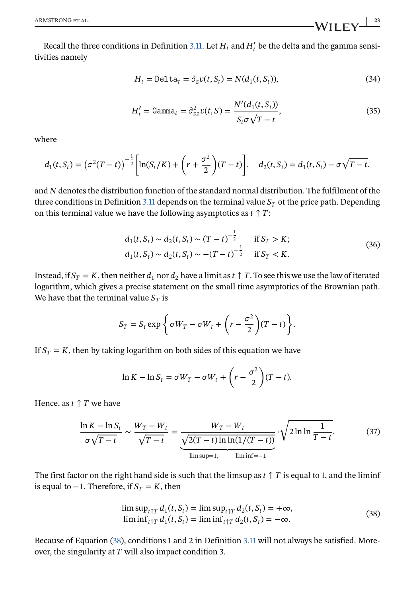<span id="page-22-0"></span>Recall the three conditions in Definition [3.11.](#page-9-0) Let  $H_t$  and  $H'_t$  be the delta and the gamma sensitivities namely

$$
H_t = \text{Delta}_t = \partial_z v(t, S_t) = N(d_1(t, S_t)),\tag{34}
$$

$$
H'_{t} = \text{Gamma}_{t} = \partial_{zz}^{2} \nu(t, S) = \frac{N'(d_{1}(t, S_{t}))}{S_{t} \sigma \sqrt{T - t}},
$$
\n(35)

where

$$
d_1(t, S_t) = (\sigma^2(T - t))^{-\frac{1}{2}} \left[ \ln(S_t/K) + \left( r + \frac{\sigma^2}{2} \right) (T - t) \right], \quad d_2(t, S_t) = d_1(t, S_t) - \sigma \sqrt{T - t}.
$$

and  $N$  denotes the distribution function of the standard normal distribution. The fulfilment of the three conditions in Definition [3.11](#page-9-0) depends on the terminal value  $S_T$  ot the price path. Depending on this terminal value we have the following asymptotics as  $t \uparrow T$ :

$$
d_1(t, S_t) \sim d_2(t, S_t) \sim (T - t)^{-\frac{1}{2}} \quad \text{if } S_T > K; d_1(t, S_t) \sim d_2(t, S_t) \sim -(T - t)^{-\frac{1}{2}} \quad \text{if } S_T < K.
$$
 (36)

Instead, if  $S_T = K$ , then neither  $d_1$  nor  $d_2$  have a limit as  $t \uparrow T$ . To see this we use the law of iterated logarithm, which gives a precise statement on the small time asymptotics of the Brownian path. We have that the terminal value  $S_T$  is

$$
S_T = S_t \exp \left\{ \sigma W_T - \sigma W_t + \left( r - \frac{\sigma^2}{2} \right) (T - t) \right\}.
$$

If  $S_T = K$ , then by taking logarithm on both sides of this equation we have

$$
\ln K - \ln S_t = \sigma W_T - \sigma W_t + \left(r - \frac{\sigma^2}{2}\right)(T - t).
$$

Hence, as  $t \uparrow T$  we have

$$
\frac{\ln K - \ln S_t}{\sigma \sqrt{T - t}} \sim \frac{W_T - W_t}{\sqrt{T - t}} = \underbrace{\frac{W_T - W_t}{\sqrt{2(T - t) \ln \ln(1/(T - t))}}}_{\lim \sup_{t \to 1}} \cdot \sqrt{2 \ln \ln \frac{1}{T - t}}.
$$
 (37)

The first factor on the right hand side is such that the limsup as  $t \uparrow T$  is equal to 1, and the liminf is equal to −1. Therefore, if  $S_T = K$ , then

$$
\limsup_{t \uparrow T} d_1(t, S_t) = \limsup_{t \uparrow T} d_2(t, S_t) = +\infty,
$$
  

$$
\liminf_{t \uparrow T} d_1(t, S_t) = \liminf_{t \uparrow T} d_2(t, S_t) = -\infty.
$$
 (38)

Because of Equation (38), conditions 1 and 2 in Definition [3.11](#page-9-0) will not always be satisfied. Moreover, the singularity at  $T$  will also impact condition 3.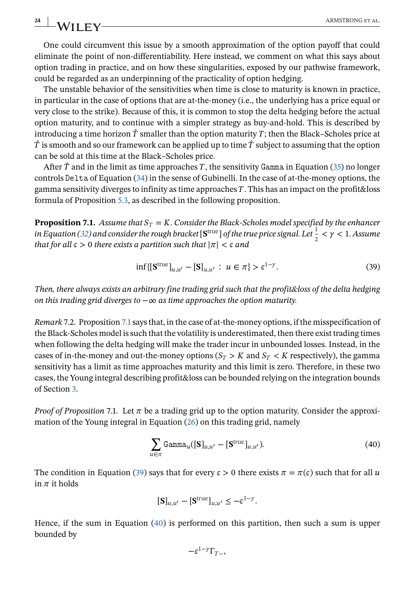One could circumvent this issue by a smooth approximation of the option payoff that could eliminate the point of non-differentiability. Here instead, we comment on what this says about option trading in practice, and on how these singularities, exposed by our pathwise framework, could be regarded as an underpinning of the practicality of option hedging.

The unstable behavior of the sensitivities when time is close to maturity is known in practice, in particular in the case of options that are at-the-money (i.e., the underlying has a price equal or very close to the strike). Because of this, it is common to stop the delta hedging before the actual option maturity, and to continue with a simpler strategy as buy-and-hold. This is described by introducing a time horizon  $\hat{T}$  smaller than the option maturity T; then the Black–Scholes price at  $\hat{T}$  is smooth and so our framework can be applied up to time  $\hat{T}$  subject to assuming that the option can be sold at this time at the Black–Scholes price.

After  $\hat{T}$  and in the limit as time approaches T, the sensitivity Gamma in Equation [\(35\)](#page-22-0) no longer controls Delta of Equation  $(34)$  in the sense of Gubinelli. In the case of at-the-money options, the gamma sensitivity diverges to infinity as time approaches  $T$ . This has an impact on the profit&loss formula of Proposition [5.3,](#page-16-0) as described in the following proposition.

**Proposition 7.1.** *Assume that*  $S_T = K$ *. Consider the Black-Scholes model specified by the enhancer in Equation [\(32\)](#page-21-0)* and consider the rough bracket  $[\textbf{S}^{\text{true}}]$  of the true price signal. Let  $\frac{1}{2} < \gamma < 1$ . Assume *that for all*  $\epsilon > 0$  *there exists a partition such that*  $|\pi| < \epsilon$  *and* 

$$
\inf\{\left[\mathbf{S}^{\text{true}}\right]_{u,u'} - \left[\mathbf{S}\right]_{u,u'} : u \in \pi\} > \epsilon^{1-\gamma}.\tag{39}
$$

*Then, there always exists an arbitrary fine trading grid such that the profit&loss of the delta hedging on this trading grid diverges to* −∞ *as time approaches the option maturity.*

*Remark* 7.2. Proposition 7.1says that, in the case of at-the-money options, if the misspecification of the Black-Scholes model is such that the volatility is underestimated, then there exist trading times when following the delta hedging will make the trader incur in unbounded losses. Instead, in the cases of in-the-money and out-the-money options  $(S_T > K$  and  $S_T < K$  respectively), the gamma sensitivity has a limit as time approaches maturity and this limit is zero. Therefore, in these two cases, the Young integral describing profit&loss can be bounded relying on the integration bounds of Section [3.](#page-4-0)

*Proof of Proposition* 7.1. Let  $\pi$  be a trading grid up to the option maturity. Consider the approximation of the Young integral in Equation [\(26\)](#page-16-0) on this trading grid, namely

$$
\sum_{u \in \pi} \text{Gamma}_{u}([\mathbf{S}]_{u,u'} - [\mathbf{S}^{\text{true}}]_{u,u'}).
$$
 (40)

The condition in Equation (39) says that for every  $\epsilon > 0$  there exists  $\pi = \pi(\epsilon)$  such that for all u in  $\pi$  it holds

$$
[\mathbf{S}]_{u,u'} - [\mathbf{S}^{\text{true}}]_{u,u'} \le -\epsilon^{1-\gamma}.
$$

Hence, if the sum in Equation (40) is performed on this partition, then such a sum is upper bounded by

$$
-\epsilon^{1-\gamma}\Gamma_{T-},
$$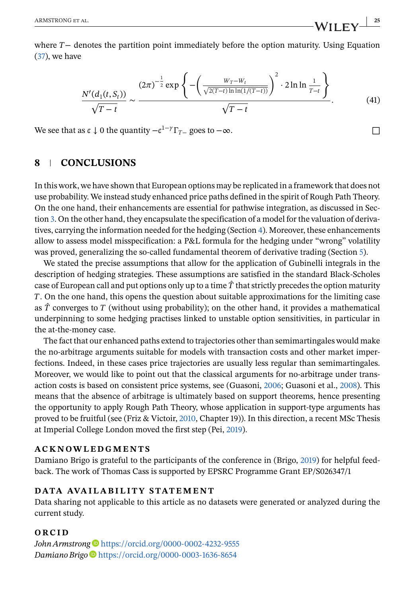<span id="page-24-0"></span>where  $T-$  denotes the partition point immediately before the option maturity. Using Equation [\(37\)](#page-22-0), we have

$$
\frac{N'(d_1(t, S_t))}{\sqrt{T-t}} \sim \frac{(2\pi)^{-\frac{1}{2}} \exp\left\{-\left(\frac{W_T - W_t}{\sqrt{2(T-t)\ln\ln(1/(T-t))}}\right)^2 \cdot 2\ln\ln\frac{1}{T-t}\right\}}{\sqrt{T-t}}.
$$
(41)

We see that as  $\epsilon \downarrow 0$  the quantity  $-\epsilon^{1-\gamma}\Gamma_{T-\gamma}$  goes to  $-\infty$ .

## **8 CONCLUSIONS**

In this work, we have shown that European options may be replicated in a framework that does not use probability. We instead study enhanced price paths defined in the spirit of Rough Path Theory. On the one hand, their enhancements are essential for pathwise integration, as discussed in Section [3.](#page-4-0) On the other hand, they encapsulate the specification of a model for the valuation of derivatives, carrying the information needed for the hedging (Section [4\)](#page-10-0). Moreover, these enhancements allow to assess model misspecification: a P&L formula for the hedging under "wrong" volatility was proved, generalizing the so-called fundamental theorem of derivative trading (Section [5\)](#page-14-0).

We stated the precise assumptions that allow for the application of Gubinelli integrals in the description of hedging strategies. These assumptions are satisfied in the standard Black-Scholes case of European call and put options only up to a time  $\hat{T}$  that strictly precedes the option maturity . On the one hand, this opens the question about suitable approximations for the limiting case as  $\hat{T}$  converges to  $T$  (without using probability); on the other hand, it provides a mathematical underpinning to some hedging practises linked to unstable option sensitivities, in particular in the at-the-money case.

The fact that our enhanced paths extend to trajectories other than semimartingales would make the no-arbitrage arguments suitable for models with transaction costs and other market imperfections. Indeed, in these cases price trajectories are usually less regular than semimartingales. Moreover, we would like to point out that the classical arguments for no-arbitrage under transaction costs is based on consistent price systems, see (Guasoni, [2006;](#page-25-0) Guasoni et al., [2008\)](#page-25-0). This means that the absence of arbitrage is ultimately based on support theorems, hence presenting the opportunity to apply Rough Path Theory, whose application in support-type arguments has proved to be fruitful (see (Friz & Victoir, [2010,](#page-25-0) Chapter 19)). In this direction, a recent MSc Thesis at Imperial College London moved the first step (Pei, [2019\)](#page-25-0).

### **ACKNOWLEDGMENTS**

Damiano Brigo is grateful to the participants of the conference in (Brigo, [2019\)](#page-25-0) for helpful feedback. The work of Thomas Cass is supported by EPSRC Programme Grant EP/S026347/1

### **DATA AVAILABILITY STATEMENT**

Data sharing not applicable to this article as no datasets were generated or analyzed during the current study.

### **ORCID**

John Armstrong<sup>t</sup> <https://orcid.org/0000-0002-4232-9555> *Damiano Brigo* <https://orcid.org/0000-0003-1636-8654>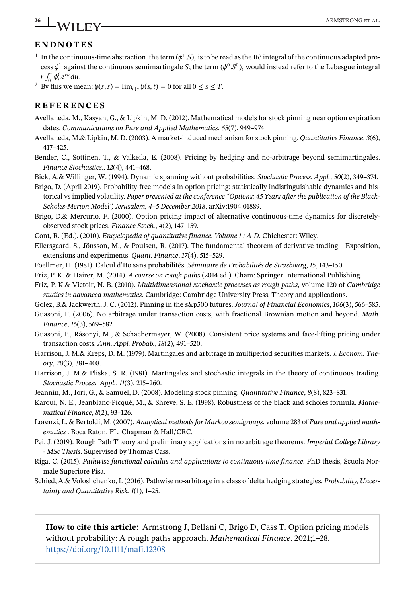# **ENDNOTES**

- <sup>1</sup> In the continuous-time abstraction, the term  $(\phi^1.S)_i$  is to be read as the Itô integral of the continuous adapted process  $\phi^1$  against the continuous semimartingale S; the term  $(\phi^0.S^0)$ , would instead refer to the Lebesgue integral  $r \int_0^t \phi_u^0 e^{ru} du$ .
- <sup>2</sup> By this we mean:  $\mathfrak{p}(s, s) = \lim_{t \downarrow s} \mathfrak{p}(s, t) = 0$  for all  $0 \le s \le T$ .

### **REFERENCES**

- Avellaneda, M., Kasyan, G., & Lipkin, M. D. (2012). Mathematical models for stock pinning near option expiration dates. *Communications on Pure and Applied Mathematics*, *65*(7), 949–974.
- Avellaneda, M.& Lipkin, M. D. (2003). A market-induced mechanism for stock pinning. *Quantitative Finance*, *3*(6), 417–425.
- Bender, C., Sottinen, T., & Valkeila, E. (2008). Pricing by hedging and no-arbitrage beyond semimartingales. *Finance Stochastics.*, *12*(4), 441–468.
- Bick, A.& Willinger, W. (1994). Dynamic spanning without probabilities. *Stochastic Process. Appl.*, *50*(2), 349–374.
- Brigo, D. (April 2019). Probability-free models in option pricing: statistically indistinguishable dynamics and historical vs implied volatility. *Paper presented at the conference "Options: 45 Years after the publication of the Black-Scholes-Merton Model", Jerusalem, 4–5 December 2018*, arXiv:1904.01889.
- Brigo, D.& Mercurio, F. (2000). Option pricing impact of alternative continuous-time dynamics for discretelyobserved stock prices. *Finance Stoch.*, *4*(2), 147–159.
- Cont, R. (Ed.). (2010). *Encyclopedia of quantitative finance. Volume 1 : A-D*. Chichester: Wiley.
- Ellersgaard, S., Jönsson, M., & Poulsen, R. (2017). The fundamental theorem of derivative trading—Exposition, extensions and experiments. *Quant. Finance*, *17*(4), 515–529.
- Foellmer, H. (1981). Calcul d'Ito sans probabilités. *Séminaire de Probabilités de Strasbourg*, *15*, 143–150.
- Friz, P. K. & Hairer, M. (2014). *A course on rough paths* (2014 ed.). Cham: Springer International Publishing.
- Friz, P. K.& Victoir, N. B. (2010). *Multidimensional stochastic processes as rough paths*, volume 120 of *Cambridge studies in advanced mathematics*. Cambridge: Cambridge University Press. Theory and applications.
- Golez, B.& Jackwerth, J. C. (2012). Pinning in the s&p500 futures. *Journal of Financial Economics*, *106*(3), 566–585.

Guasoni, P. (2006). No arbitrage under transaction costs, with fractional Brownian motion and beyond. *Math. Finance*, *16*(3), 569–582.

- Guasoni, P., Rásonyi, M., & Schachermayer, W. (2008). Consistent price systems and face-lifting pricing under transaction costs. *Ann. Appl. Probab.*, *18*(2), 491–520.
- Harrison, J. M.& Kreps, D. M. (1979). Martingales and arbitrage in multiperiod securities markets. *J. Econom. Theory*, *20*(3), 381–408.
- Harrison, J. M.& Pliska, S. R. (1981). Martingales and stochastic integrals in the theory of continuous trading. *Stochastic Process. Appl.*, *11*(3), 215–260.
- Jeannin, M., Iori, G., & Samuel, D. (2008). Modeling stock pinning. *Quantitative Finance*, *8*(8), 823–831.
- Karoui, N. E., Jeanblanc-Picquè, M., & Shreve, S. E. (1998). Robustness of the black and scholes formula. *Mathematical Finance*, *8*(2), 93–126.
- Lorenzi, L. & Bertoldi, M. (2007). *Analytical methods for Markov semigroups*, volume 283 of *Pure and applied mathematics* . Boca Raton, FL: Chapman & Hall/CRC.
- Pei, J. (2019). Rough Path Theory and preliminary applications in no arbitrage theorems. *Imperial College Library - MSc Thesis*. Supervised by Thomas Cass.
- Riga, C. (2015). *Pathwise functional calculus and applications to continuous-time finance*. PhD thesis, Scuola Normale Superiore Pisa.
- Schied, A.& Voloshchenko, I. (2016). Pathwise no-arbitrage in a class of delta hedging strategies. *Probability, Uncertainty and Quantitative Risk*, *1*(1), 1–25.

**How to cite this article:** Armstrong J, Bellani C, Brigo D, Cass T. Option pricing models without probability: A rough paths approach. *Mathematical Finance*. 2021;1–28. <https://doi.org/10.1111/mafi.12308>

<span id="page-25-0"></span>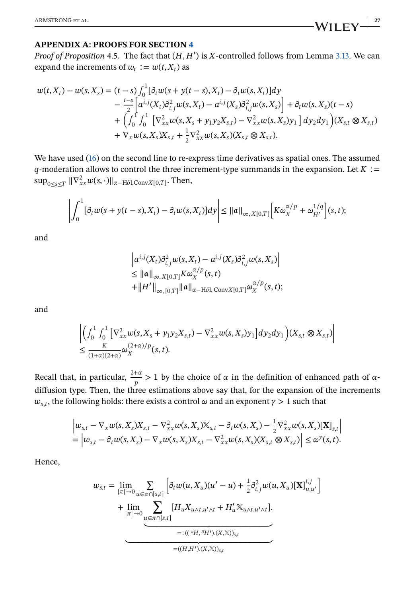### **APPENDIX A: PROOFS FOR SECTION [4](#page-10-0)**

*Proof of Proposition* 4.5. The fact that  $(H, H')$  is X-controlled follows from Lemma [3.13.](#page-10-0) We can expand the increments of  $w_t := w(t, X_t)$  as

$$
w(t, X_t) - w(s, X_s) = (t - s) \int_0^1 [\partial_t w(s + y(t - s), X_t) - \partial_t w(s, X_t)] dy
$$
  
\n
$$
- \frac{t - s}{2} \left[ a^{i,j}(X_t) \partial_{i,j}^2 w(s, X_t) - a^{i,j}(X_s) \partial_{i,j}^2 w(s, X_s) \right] + \partial_t w(s, X_s)(t - s)
$$
  
\n
$$
+ \left( \int_0^1 \int_0^1 \left[ \nabla_{xx}^2 w(s, X_s + y_1 y_2 X_{s,t}) - \nabla_{xx}^2 w(s, X_s) y_1 \right] dy_2 dy_1 \right) (X_{s,t} \otimes X_{s,t})
$$
  
\n
$$
+ \nabla_x w(s, X_s) X_{s,t} + \frac{1}{2} \nabla_{xx}^2 w(s, X_s) (X_{s,t} \otimes X_{s,t}).
$$

We have used [\(16\)](#page-12-0) on the second line to re-express time derivatives as spatial ones. The assumed  $q$ -moderation allows to control the three increment-type summands in the expansion. Let  $K :=$  $\sup_{0\leq s\leq T} ||\nabla^2_{xx} w(s,\cdot)||_{\alpha-H\delta l,ConvX[0,T]}.$  Then,

$$
\left| \int_0^1 [\partial_t w(s + y(t-s), X_t) - \partial_t w(s, X_t)] dy \right| \le ||\mathfrak{a}||_{\infty, X[0,T]} \left[ K \omega_X^{\alpha/p} + \omega_{H'}^{1/q} \right](s, t);
$$

and

$$
\left| a^{i,j}(X_t) \partial_{i,j}^2 w(s, X_t) - a^{i,j}(X_s) \partial_{i,j}^2 w(s, X_s) \right|
$$
  
\n
$$
\leq ||\mathfrak{a}||_{\infty, X[0,T]} K \omega_X^{\alpha/p}(s, t)
$$
  
\n
$$
+ ||H'||_{\infty, [0,T]} ||\mathfrak{a}||_{\alpha - \text{H\"{o}l}, \text{ConvX}[0,T]} \omega_X^{\alpha/p}(s, t);
$$

and

$$
\left| \left( \int_0^1 \int_0^1 \left[ \nabla_{xx}^2 w(s, X_s + y_1 y_2 X_{s,t}) - \nabla_{xx}^2 w(s, X_s) y_1 \right] dy_2 dy_1 \right) (X_{s,t} \otimes X_{s,t}) \right|
$$
  
\n
$$
\leq \frac{K}{(1+\alpha)(2+\alpha)} \omega_X^{(2+\alpha)/p}(s, t).
$$

Recall that, in particular,  $\frac{2+\alpha}{p} > 1$  by the choice of  $\alpha$  in the definition of enhanced path of  $\alpha$ diffusion type. Then, the three estimations above say that, for the expansion of the increments  $w_{s,t}$ , the following holds: there exists a control  $\omega$  and an exponent  $\gamma > 1$  such that

$$
\begin{aligned} & \left| w_{s,t} - \nabla_x w(s,X_s) X_{s,t} - \nabla_{xx}^2 w(s,X_s) X_{s,t} - \partial_t w(s,X_s) - \frac{1}{2} \nabla_{xx}^2 w(s,X_s) [\mathbf{X}]_{s,t} \right| \\ &= \left| w_{s,t} - \partial_t w(s,X_s) - \nabla_x w(s,X_s) X_{s,t} - \nabla_{xx}^2 w(s,X_s) (X_{s,t} \otimes X_{s,t}) \right| \leq \omega^{\gamma}(s,t). \end{aligned}
$$

Hence,

$$
w_{s,t} = \lim_{|\pi| \to 0} \sum_{u \in \pi \cap [s,t]} \left[ \partial_t w(u, X_u)(u' - u) + \frac{1}{2} \partial_{i,j}^2 w(u, X_u)[\mathbf{X}]_{u,u'}^{i,j} \right]
$$
  
+ 
$$
\lim_{|\pi| \to 0} \sum_{u \in \pi \cap [s,t]} [H_u X_{u \wedge t, u' \wedge t} + H'_u X_{u \wedge t, u' \wedge t}].
$$
  
=:  $((\pi_H, \pi_H').(X, X))_{s,t}$ 

]